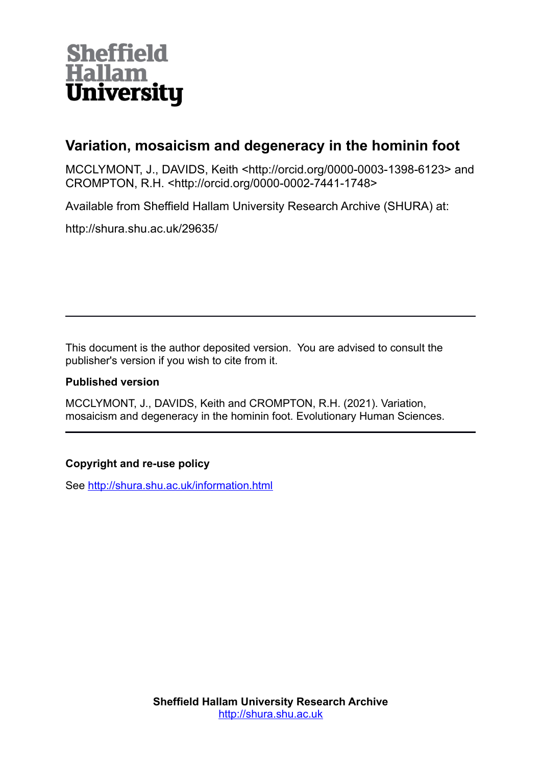

# **Variation, mosaicism and degeneracy in the hominin foot**

MCCLYMONT, J., DAVIDS, Keith <http://orcid.org/0000-0003-1398-6123> and CROMPTON, R.H. <http://orcid.org/0000-0002-7441-1748>

Available from Sheffield Hallam University Research Archive (SHURA) at:

http://shura.shu.ac.uk/29635/

This document is the author deposited version. You are advised to consult the publisher's version if you wish to cite from it.

# **Published version**

MCCLYMONT, J., DAVIDS, Keith and CROMPTON, R.H. (2021). Variation, mosaicism and degeneracy in the hominin foot. Evolutionary Human Sciences.

# **Copyright and re-use policy**

See<http://shura.shu.ac.uk/information.html>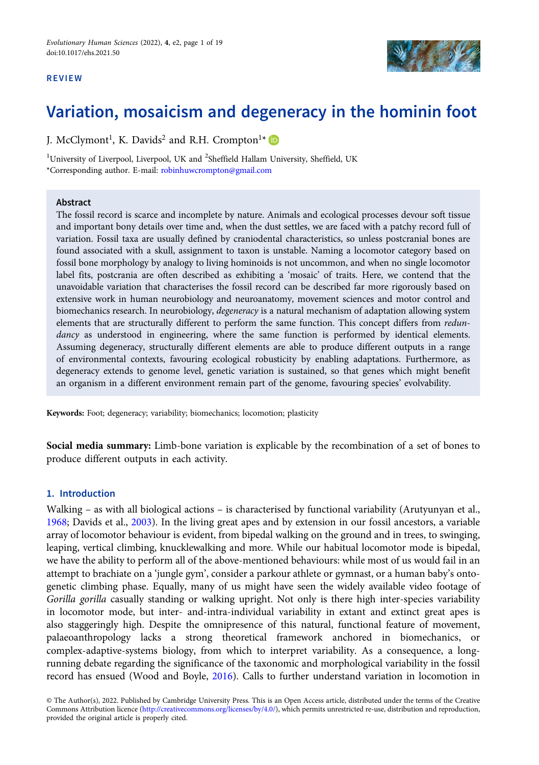#### REVIEW



# Variation, mosaicism and degeneracy in the hominin foot

J. McClymont<sup>1</sup>, K. Davids<sup>2</sup> and R.H. Crompton<sup>1\*</sup>

<sup>1</sup>University of Liverpool, Liverpool, UK and  ${}^{2}$ Sheffield Hallam University, Sheffield, UK \*Corresponding author. E-mail: [robinhuwcrompton@gmail.com](mailto:robinhuwcrompton@gmail.com)

### Abstract

The fossil record is scarce and incomplete by nature. Animals and ecological processes devour soft tissue and important bony details over time and, when the dust settles, we are faced with a patchy record full of variation. Fossil taxa are usually defined by craniodental characteristics, so unless postcranial bones are found associated with a skull, assignment to taxon is unstable. Naming a locomotor category based on fossil bone morphology by analogy to living hominoids is not uncommon, and when no single locomotor label fits, postcrania are often described as exhibiting a 'mosaic' of traits. Here, we contend that the unavoidable variation that characterises the fossil record can be described far more rigorously based on extensive work in human neurobiology and neuroanatomy, movement sciences and motor control and biomechanics research. In neurobiology, degeneracy is a natural mechanism of adaptation allowing system elements that are structurally different to perform the same function. This concept differs from redundancy as understood in engineering, where the same function is performed by identical elements. Assuming degeneracy, structurally different elements are able to produce different outputs in a range of environmental contexts, favouring ecological robusticity by enabling adaptations. Furthermore, as degeneracy extends to genome level, genetic variation is sustained, so that genes which might benefit an organism in a different environment remain part of the genome, favouring species' evolvability.

Keywords: Foot; degeneracy; variability; biomechanics; locomotion; plasticity

Social media summary: Limb-bone variation is explicable by the recombination of a set of bones to produce different outputs in each activity.

## 1. Introduction

Walking – as with all biological actions – is characterised by functional variability (Arutyunyan et al., [1968](#page-13-0); Davids et al., [2003\)](#page-14-0). In the living great apes and by extension in our fossil ancestors, a variable array of locomotor behaviour is evident, from bipedal walking on the ground and in trees, to swinging, leaping, vertical climbing, knucklewalking and more. While our habitual locomotor mode is bipedal, we have the ability to perform all of the above-mentioned behaviours: while most of us would fail in an attempt to brachiate on a 'jungle gym', consider a parkour athlete or gymnast, or a human baby's ontogenetic climbing phase. Equally, many of us might have seen the widely available video footage of Gorilla gorilla casually standing or walking upright. Not only is there high inter-species variability in locomotor mode, but inter- and-intra-individual variability in extant and extinct great apes is also staggeringly high. Despite the omnipresence of this natural, functional feature of movement, palaeoanthropology lacks a strong theoretical framework anchored in biomechanics, or complex-adaptive-systems biology, from which to interpret variability. As a consequence, a longrunning debate regarding the significance of the taxonomic and morphological variability in the fossil record has ensued (Wood and Boyle, [2016\)](#page-18-0). Calls to further understand variation in locomotion in

<sup>©</sup> The Author(s), 2022. Published by Cambridge University Press. This is an Open Access article, distributed under the terms of the Creative Commons Attribution licence [\(http://creativecommons.org/licenses/by/4.0/](http://creativecommons.org/licenses/by/4.0/)), which permits unrestricted re-use, distribution and reproduction, provided the original article is properly cited.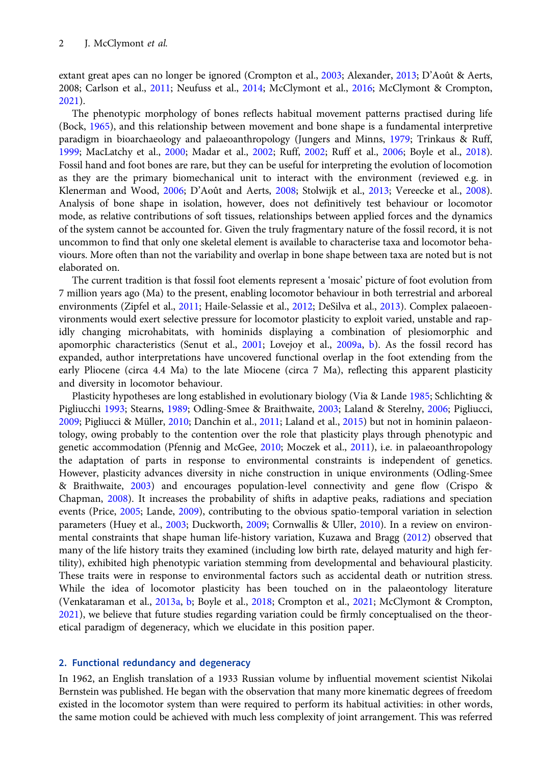extant great apes can no longer be ignored (Crompton et al., [2003;](#page-14-0) Alexander, [2013](#page-13-0); D'Août & Aerts, 2008; Carlson et al., [2011](#page-14-0); Neufuss et al., [2014;](#page-16-0) McClymont et al., [2016;](#page-16-0) McClymont & Crompton, [2021\)](#page-16-0).

The phenotypic morphology of bones reflects habitual movement patterns practised during life (Bock, [1965\)](#page-13-0), and this relationship between movement and bone shape is a fundamental interpretive paradigm in bioarchaeology and palaeoanthropology (Jungers and Minns, [1979](#page-15-0); Trinkaus & Ruff, [1999;](#page-18-0) MacLatchy et al., [2000;](#page-16-0) Madar et al., [2002;](#page-16-0) Ruff, [2002;](#page-17-0) Ruff et al., [2006](#page-17-0); Boyle et al., [2018](#page-13-0)). Fossil hand and foot bones are rare, but they can be useful for interpreting the evolution of locomotion as they are the primary biomechanical unit to interact with the environment (reviewed e.g. in Klenerman and Wood, [2006](#page-15-0); D'Août and Aerts, [2008;](#page-14-0) Stolwijk et al., [2013](#page-18-0); Vereecke et al., [2008](#page-18-0)). Analysis of bone shape in isolation, however, does not definitively test behaviour or locomotor mode, as relative contributions of soft tissues, relationships between applied forces and the dynamics of the system cannot be accounted for. Given the truly fragmentary nature of the fossil record, it is not uncommon to find that only one skeletal element is available to characterise taxa and locomotor behaviours. More often than not the variability and overlap in bone shape between taxa are noted but is not elaborated on.

The current tradition is that fossil foot elements represent a 'mosaic' picture of foot evolution from 7 million years ago (Ma) to the present, enabling locomotor behaviour in both terrestrial and arboreal environments (Zipfel et al., [2011](#page-19-0); Haile-Selassie et al., [2012](#page-15-0); DeSilva et al., [2013](#page-14-0)). Complex palaeoenvironments would exert selective pressure for locomotor plasticity to exploit varied, unstable and rapidly changing microhabitats, with hominids displaying a combination of plesiomorphic and apomorphic characteristics (Senut et al., [2001](#page-17-0); Lovejoy et al., [2009a](#page-16-0), [b\)](#page-16-0). As the fossil record has expanded, author interpretations have uncovered functional overlap in the foot extending from the early Pliocene (circa 4.4 Ma) to the late Miocene (circa 7 Ma), reflecting this apparent plasticity and diversity in locomotor behaviour.

Plasticity hypotheses are long established in evolutionary biology (Via & Lande [1985;](#page-18-0) Schlichting & Pigliucchi [1993](#page-17-0); Stearns, [1989;](#page-18-0) Odling-Smee & Braithwaite, [2003;](#page-17-0) Laland & Sterelny, [2006;](#page-15-0) Pigliucci, [2009;](#page-17-0) Pigliucci & Müller, [2010;](#page-17-0) Danchin et al., [2011](#page-14-0); Laland et al., [2015\)](#page-15-0) but not in hominin palaeontology, owing probably to the contention over the role that plasticity plays through phenotypic and genetic accommodation (Pfennig and McGee, [2010](#page-17-0); Moczek et al., [2011](#page-16-0)), i.e. in palaeoanthropology the adaptation of parts in response to environmental constraints is independent of genetics. However, plasticity advances diversity in niche construction in unique environments (Odling-Smee & Braithwaite, [2003](#page-17-0)) and encourages population-level connectivity and gene flow (Crispo & Chapman, [2008](#page-14-0)). It increases the probability of shifts in adaptive peaks, radiations and speciation events (Price, [2005;](#page-17-0) Lande, [2009](#page-15-0)), contributing to the obvious spatio-temporal variation in selection parameters (Huey et al., [2003](#page-15-0); Duckworth, [2009](#page-14-0); Cornwallis & Uller, [2010\)](#page-14-0). In a review on environmental constraints that shape human life-history variation, Kuzawa and Bragg [\(2012\)](#page-15-0) observed that many of the life history traits they examined (including low birth rate, delayed maturity and high fertility), exhibited high phenotypic variation stemming from developmental and behavioural plasticity. These traits were in response to environmental factors such as accidental death or nutrition stress. While the idea of locomotor plasticity has been touched on in the palaeontology literature (Venkataraman et al., [2013a](#page-18-0), [b;](#page-18-0) Boyle et al., [2018](#page-13-0); Crompton et al., [2021;](#page-14-0) McClymont & Crompton, [2021\)](#page-16-0), we believe that future studies regarding variation could be firmly conceptualised on the theoretical paradigm of degeneracy, which we elucidate in this position paper.

# 2. Functional redundancy and degeneracy

In 1962, an English translation of a 1933 Russian volume by influential movement scientist Nikolai Bernstein was published. He began with the observation that many more kinematic degrees of freedom existed in the locomotor system than were required to perform its habitual activities: in other words, the same motion could be achieved with much less complexity of joint arrangement. This was referred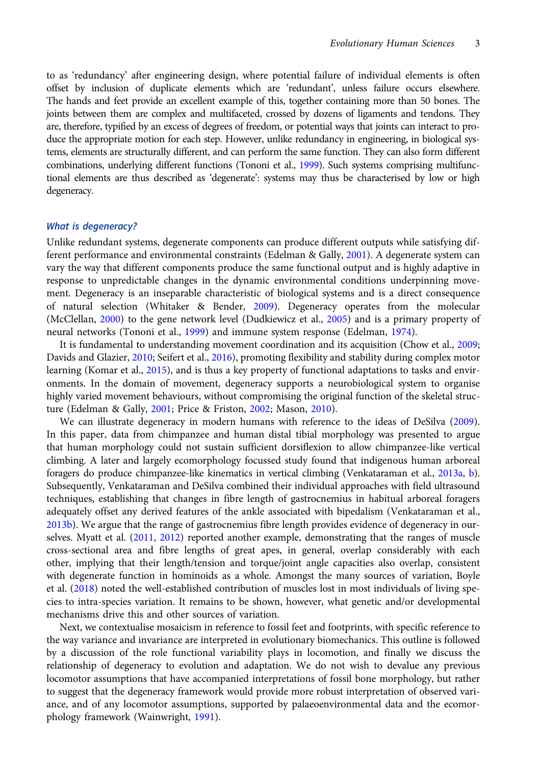to as 'redundancy' after engineering design, where potential failure of individual elements is often offset by inclusion of duplicate elements which are 'redundant', unless failure occurs elsewhere. The hands and feet provide an excellent example of this, together containing more than 50 bones. The joints between them are complex and multifaceted, crossed by dozens of ligaments and tendons. They are, therefore, typified by an excess of degrees of freedom, or potential ways that joints can interact to produce the appropriate motion for each step. However, unlike redundancy in engineering, in biological systems, elements are structurally different, and can perform the same function. They can also form different combinations, underlying different functions (Tononi et al., [1999\)](#page-18-0). Such systems comprising multifunctional elements are thus described as 'degenerate': systems may thus be characterised by low or high degeneracy.

#### What is degeneracy?

Unlike redundant systems, degenerate components can produce different outputs while satisfying different performance and environmental constraints (Edelman & Gally, [2001\)](#page-14-0). A degenerate system can vary the way that different components produce the same functional output and is highly adaptive in response to unpredictable changes in the dynamic environmental conditions underpinning movement. Degeneracy is an inseparable characteristic of biological systems and is a direct consequence of natural selection (Whitaker & Bender, [2009\)](#page-18-0). Degeneracy operates from the molecular (McClellan, [2000](#page-16-0)) to the gene network level (Dudkiewicz et al., [2005\)](#page-14-0) and is a primary property of neural networks (Tononi et al., [1999\)](#page-18-0) and immune system response (Edelman, [1974\)](#page-14-0).

It is fundamental to understanding movement coordination and its acquisition (Chow et al., [2009](#page-14-0); Davids and Glazier, [2010;](#page-14-0) Seifert et al., [2016](#page-17-0)), promoting flexibility and stability during complex motor learning (Komar et al., [2015\)](#page-15-0), and is thus a key property of functional adaptations to tasks and environments. In the domain of movement, degeneracy supports a neurobiological system to organise highly varied movement behaviours, without compromising the original function of the skeletal structure (Edelman & Gally, [2001;](#page-14-0) Price & Friston, [2002](#page-17-0); Mason, [2010](#page-16-0)).

We can illustrate degeneracy in modern humans with reference to the ideas of DeSilva [\(2009\)](#page-14-0). In this paper, data from chimpanzee and human distal tibial morphology was presented to argue that human morphology could not sustain sufficient dorsiflexion to allow chimpanzee-like vertical climbing. A later and largely ecomorphology focussed study found that indigenous human arboreal foragers do produce chimpanzee-like kinematics in vertical climbing (Venkataraman et al., [2013a,](#page-18-0) [b\)](#page-18-0). Subsequently, Venkataraman and DeSilva combined their individual approaches with field ultrasound techniques, establishing that changes in fibre length of gastrocnemius in habitual arboreal foragers adequately offset any derived features of the ankle associated with bipedalism (Venkataraman et al., [2013b](#page-18-0)). We argue that the range of gastrocnemius fibre length provides evidence of degeneracy in ourselves. Myatt et al. [\(2011,](#page-16-0) [2012\)](#page-16-0) reported another example, demonstrating that the ranges of muscle cross-sectional area and fibre lengths of great apes, in general, overlap considerably with each other, implying that their length/tension and torque/joint angle capacities also overlap, consistent with degenerate function in hominoids as a whole. Amongst the many sources of variation, Boyle et al. ([2018](#page-13-0)) noted the well-established contribution of muscles lost in most individuals of living species to intra-species variation. It remains to be shown, however, what genetic and/or developmental mechanisms drive this and other sources of variation.

Next, we contextualise mosaicism in reference to fossil feet and footprints, with specific reference to the way variance and invariance are interpreted in evolutionary biomechanics. This outline is followed by a discussion of the role functional variability plays in locomotion, and finally we discuss the relationship of degeneracy to evolution and adaptation. We do not wish to devalue any previous locomotor assumptions that have accompanied interpretations of fossil bone morphology, but rather to suggest that the degeneracy framework would provide more robust interpretation of observed variance, and of any locomotor assumptions, supported by palaeoenvironmental data and the ecomorphology framework (Wainwright, [1991\)](#page-18-0).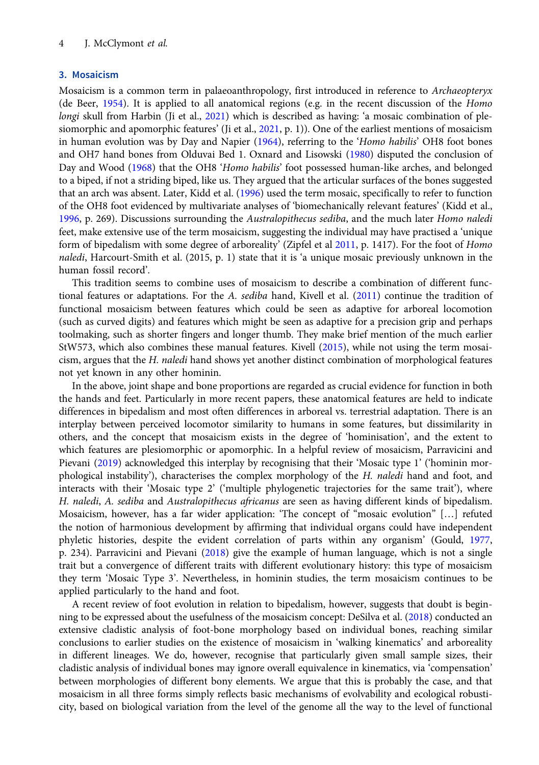# 3. Mosaicism

Mosaicism is a common term in palaeoanthropology, first introduced in reference to Archaeopteryx (de Beer, [1954\)](#page-14-0). It is applied to all anatomical regions (e.g. in the recent discussion of the Homo longi skull from Harbin (Ji et al., [2021](#page-15-0)) which is described as having: 'a mosaic combination of plesiomorphic and apomorphic features' (Ji et al., [2021,](#page-15-0) p. 1)). One of the earliest mentions of mosaicism in human evolution was by Day and Napier ([1964](#page-14-0)), referring to the 'Homo habilis' OH8 foot bones and OH7 hand bones from Olduvai Bed 1. Oxnard and Lisowski [\(1980\)](#page-17-0) disputed the conclusion of Day and Wood [\(1968](#page-14-0)) that the OH8 'Homo habilis' foot possessed human-like arches, and belonged to a biped, if not a striding biped, like us. They argued that the articular surfaces of the bones suggested that an arch was absent. Later, Kidd et al. ([1996](#page-15-0)) used the term mosaic, specifically to refer to function of the OH8 foot evidenced by multivariate analyses of 'biomechanically relevant features' (Kidd et al., [1996,](#page-15-0) p. 269). Discussions surrounding the Australopithecus sediba, and the much later Homo naledi feet, make extensive use of the term mosaicism, suggesting the individual may have practised a 'unique form of bipedalism with some degree of arboreality' (Zipfel et al [2011,](#page-19-0) p. 1417). For the foot of Homo naledi, Harcourt-Smith et al. (2015, p. 1) state that it is 'a unique mosaic previously unknown in the human fossil record'.

This tradition seems to combine uses of mosaicism to describe a combination of different functional features or adaptations. For the A. sediba hand, Kivell et al. [\(2011](#page-15-0)) continue the tradition of functional mosaicism between features which could be seen as adaptive for arboreal locomotion (such as curved digits) and features which might be seen as adaptive for a precision grip and perhaps toolmaking, such as shorter fingers and longer thumb. They make brief mention of the much earlier StW573, which also combines these manual features. Kivell [\(2015\)](#page-15-0), while not using the term mosaicism, argues that the H. naledi hand shows yet another distinct combination of morphological features not yet known in any other hominin.

In the above, joint shape and bone proportions are regarded as crucial evidence for function in both the hands and feet. Particularly in more recent papers, these anatomical features are held to indicate differences in bipedalism and most often differences in arboreal vs. terrestrial adaptation. There is an interplay between perceived locomotor similarity to humans in some features, but dissimilarity in others, and the concept that mosaicism exists in the degree of 'hominisation', and the extent to which features are plesiomorphic or apomorphic. In a helpful review of mosaicism, Parravicini and Pievani [\(2019\)](#page-17-0) acknowledged this interplay by recognising that their 'Mosaic type 1' ('hominin morphological instability'), characterises the complex morphology of the H. naledi hand and foot, and interacts with their 'Mosaic type 2' ('multiple phylogenetic trajectories for the same trait'), where H. naledi, A. sediba and Australopithecus africanus are seen as having different kinds of bipedalism. Mosaicism, however, has a far wider application: 'The concept of "mosaic evolution" […] refuted the notion of harmonious development by affirming that individual organs could have independent phyletic histories, despite the evident correlation of parts within any organism' (Gould, [1977,](#page-15-0) p. 234). Parravicini and Pievani ([2018](#page-17-0)) give the example of human language, which is not a single trait but a convergence of different traits with different evolutionary history: this type of mosaicism they term 'Mosaic Type 3'. Nevertheless, in hominin studies, the term mosaicism continues to be applied particularly to the hand and foot.

A recent review of foot evolution in relation to bipedalism, however, suggests that doubt is beginning to be expressed about the usefulness of the mosaicism concept: DeSilva et al. ([2018\)](#page-14-0) conducted an extensive cladistic analysis of foot-bone morphology based on individual bones, reaching similar conclusions to earlier studies on the existence of mosaicism in 'walking kinematics' and arboreality in different lineages. We do, however, recognise that particularly given small sample sizes, their cladistic analysis of individual bones may ignore overall equivalence in kinematics, via 'compensation' between morphologies of different bony elements. We argue that this is probably the case, and that mosaicism in all three forms simply reflects basic mechanisms of evolvability and ecological robusticity, based on biological variation from the level of the genome all the way to the level of functional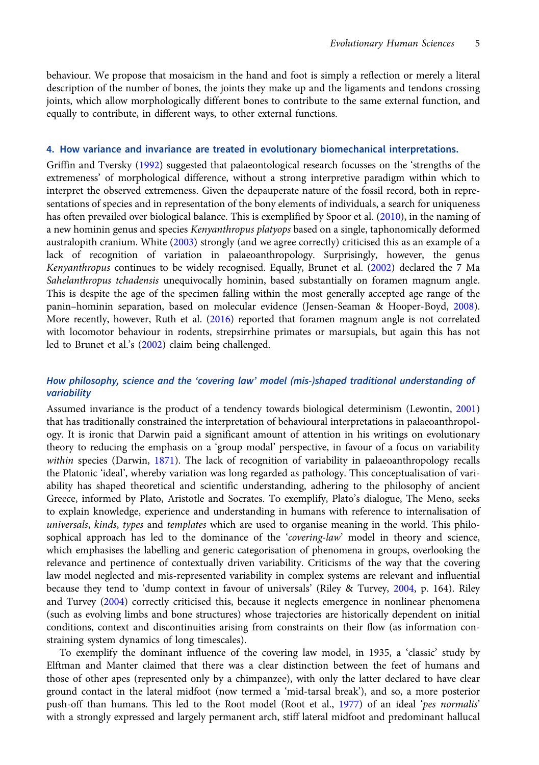behaviour. We propose that mosaicism in the hand and foot is simply a reflection or merely a literal description of the number of bones, the joints they make up and the ligaments and tendons crossing joints, which allow morphologically different bones to contribute to the same external function, and equally to contribute, in different ways, to other external functions.

### 4. How variance and invariance are treated in evolutionary biomechanical interpretations.

Griffin and Tversky [\(1992\)](#page-15-0) suggested that palaeontological research focusses on the 'strengths of the extremeness' of morphological difference, without a strong interpretive paradigm within which to interpret the observed extremeness. Given the depauperate nature of the fossil record, both in representations of species and in representation of the bony elements of individuals, a search for uniqueness has often prevailed over biological balance. This is exemplified by Spoor et al. ([2010\)](#page-17-0), in the naming of a new hominin genus and species Kenyanthropus platyops based on a single, taphonomically deformed australopith cranium. White ([2003](#page-18-0)) strongly (and we agree correctly) criticised this as an example of a lack of recognition of variation in palaeoanthropology. Surprisingly, however, the genus Kenyanthropus continues to be widely recognised. Equally, Brunet et al. ([2002](#page-13-0)) declared the 7 Ma Sahelanthropus tchadensis unequivocally hominin, based substantially on foramen magnum angle. This is despite the age of the specimen falling within the most generally accepted age range of the panin–hominin separation, based on molecular evidence (Jensen-Seaman & Hooper-Boyd, [2008\)](#page-15-0). More recently, however, Ruth et al. [\(2016\)](#page-17-0) reported that foramen magnum angle is not correlated with locomotor behaviour in rodents, strepsirrhine primates or marsupials, but again this has not led to Brunet et al.'s ([2002](#page-13-0)) claim being challenged.

# How philosophy, science and the 'covering law' model (mis-)shaped traditional understanding of variability

Assumed invariance is the product of a tendency towards biological determinism (Lewontin, [2001](#page-16-0)) that has traditionally constrained the interpretation of behavioural interpretations in palaeoanthropology. It is ironic that Darwin paid a significant amount of attention in his writings on evolutionary theory to reducing the emphasis on a 'group modal' perspective, in favour of a focus on variability within species (Darwin, [1871\)](#page-14-0). The lack of recognition of variability in palaeoanthropology recalls the Platonic 'ideal', whereby variation was long regarded as pathology. This conceptualisation of variability has shaped theoretical and scientific understanding, adhering to the philosophy of ancient Greece, informed by Plato, Aristotle and Socrates. To exemplify, Plato's dialogue, The Meno, seeks to explain knowledge, experience and understanding in humans with reference to internalisation of universals, kinds, types and templates which are used to organise meaning in the world. This philosophical approach has led to the dominance of the 'covering-law' model in theory and science, which emphasises the labelling and generic categorisation of phenomena in groups, overlooking the relevance and pertinence of contextually driven variability. Criticisms of the way that the covering law model neglected and mis-represented variability in complex systems are relevant and influential because they tend to 'dump context in favour of universals' (Riley & Turvey, [2004,](#page-17-0) p. 164). Riley and Turvey [\(2004\)](#page-17-0) correctly criticised this, because it neglects emergence in nonlinear phenomena (such as evolving limbs and bone structures) whose trajectories are historically dependent on initial conditions, context and discontinuities arising from constraints on their flow (as information constraining system dynamics of long timescales).

To exemplify the dominant influence of the covering law model, in 1935, a 'classic' study by Elftman and Manter claimed that there was a clear distinction between the feet of humans and those of other apes (represented only by a chimpanzee), with only the latter declared to have clear ground contact in the lateral midfoot (now termed a 'mid-tarsal break'), and so, a more posterior push-off than humans. This led to the Root model (Root et al., [1977\)](#page-17-0) of an ideal 'pes normalis' with a strongly expressed and largely permanent arch, stiff lateral midfoot and predominant hallucal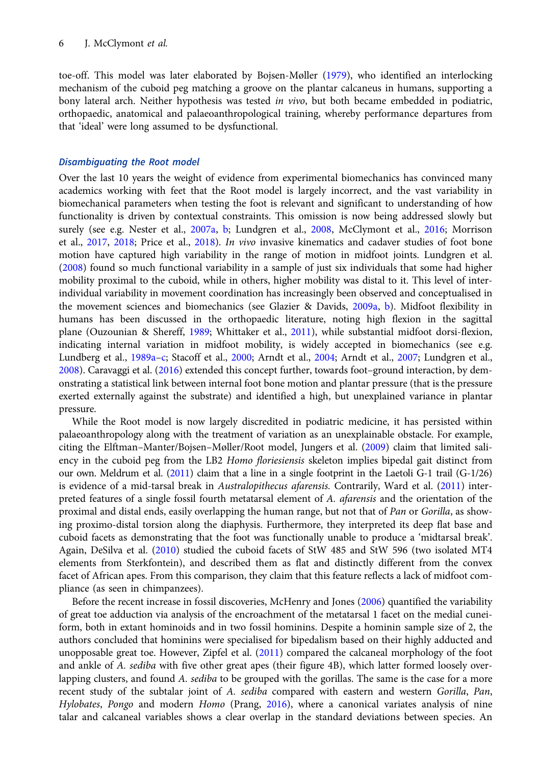toe-off. This model was later elaborated by Bojsen-Møller ([1979](#page-13-0)), who identified an interlocking mechanism of the cuboid peg matching a groove on the plantar calcaneus in humans, supporting a bony lateral arch. Neither hypothesis was tested in vivo, but both became embedded in podiatric, orthopaedic, anatomical and palaeoanthropological training, whereby performance departures from that 'ideal' were long assumed to be dysfunctional.

#### Disambiguating the Root model

Over the last 10 years the weight of evidence from experimental biomechanics has convinced many academics working with feet that the Root model is largely incorrect, and the vast variability in biomechanical parameters when testing the foot is relevant and significant to understanding of how functionality is driven by contextual constraints. This omission is now being addressed slowly but surely (see e.g. Nester et al., [2007a](#page-16-0), [b;](#page-16-0) Lundgren et al., [2008](#page-16-0), McClymont et al., [2016](#page-16-0); Morrison et al., [2017](#page-16-0), [2018;](#page-16-0) Price et al., [2018\)](#page-17-0). In vivo invasive kinematics and cadaver studies of foot bone motion have captured high variability in the range of motion in midfoot joints. Lundgren et al. [\(2008\)](#page-16-0) found so much functional variability in a sample of just six individuals that some had higher mobility proximal to the cuboid, while in others, higher mobility was distal to it. This level of interindividual variability in movement coordination has increasingly been observed and conceptualised in the movement sciences and biomechanics (see Glazier & Davids, [2009a,](#page-15-0) [b\)](#page-15-0). Midfoot flexibility in humans has been discussed in the orthopaedic literature, noting high flexion in the sagittal plane (Ouzounian & Shereff, [1989;](#page-17-0) Whittaker et al., [2011\)](#page-18-0), while substantial midfoot dorsi-flexion, indicating internal variation in midfoot mobility, is widely accepted in biomechanics (see e.g. Lundberg et al., [1989a](#page-16-0)–[c;](#page-16-0) Stacoff et al., [2000](#page-18-0); Arndt et al., [2004](#page-13-0); Arndt et al., [2007;](#page-13-0) Lundgren et al., [2008\)](#page-16-0). Caravaggi et al. [\(2016\)](#page-14-0) extended this concept further, towards foot–ground interaction, by demonstrating a statistical link between internal foot bone motion and plantar pressure (that is the pressure exerted externally against the substrate) and identified a high, but unexplained variance in plantar pressure.

While the Root model is now largely discredited in podiatric medicine, it has persisted within palaeoanthropology along with the treatment of variation as an unexplainable obstacle. For example, citing the Elftman–Manter/Bojsen–Møller/Root model, Jungers et al. [\(2009](#page-15-0)) claim that limited saliency in the cuboid peg from the LB2 Homo floriesiensis skeleton implies bipedal gait distinct from our own. Meldrum et al. ([2011\)](#page-16-0) claim that a line in a single footprint in the Laetoli G-1 trail (G-1/26) is evidence of a mid-tarsal break in Australopithecus afarensis. Contrarily, Ward et al. [\(2011\)](#page-18-0) interpreted features of a single fossil fourth metatarsal element of A. *afarensis* and the orientation of the proximal and distal ends, easily overlapping the human range, but not that of Pan or Gorilla, as showing proximo-distal torsion along the diaphysis. Furthermore, they interpreted its deep flat base and cuboid facets as demonstrating that the foot was functionally unable to produce a 'midtarsal break'. Again, DeSilva et al. [\(2010](#page-14-0)) studied the cuboid facets of StW 485 and StW 596 (two isolated MT4 elements from Sterkfontein), and described them as flat and distinctly different from the convex facet of African apes. From this comparison, they claim that this feature reflects a lack of midfoot compliance (as seen in chimpanzees).

Before the recent increase in fossil discoveries, McHenry and Jones ([2006](#page-16-0)) quantified the variability of great toe adduction via analysis of the encroachment of the metatarsal 1 facet on the medial cuneiform, both in extant hominoids and in two fossil hominins. Despite a hominin sample size of 2, the authors concluded that hominins were specialised for bipedalism based on their highly adducted and unopposable great toe. However, Zipfel et al. [\(2011\)](#page-19-0) compared the calcaneal morphology of the foot and ankle of A. sediba with five other great apes (their figure 4B), which latter formed loosely overlapping clusters, and found A. sediba to be grouped with the gorillas. The same is the case for a more recent study of the subtalar joint of A. sediba compared with eastern and western Gorilla, Pan, Hylobates, Pongo and modern Homo (Prang, [2016\)](#page-17-0), where a canonical variates analysis of nine talar and calcaneal variables shows a clear overlap in the standard deviations between species. An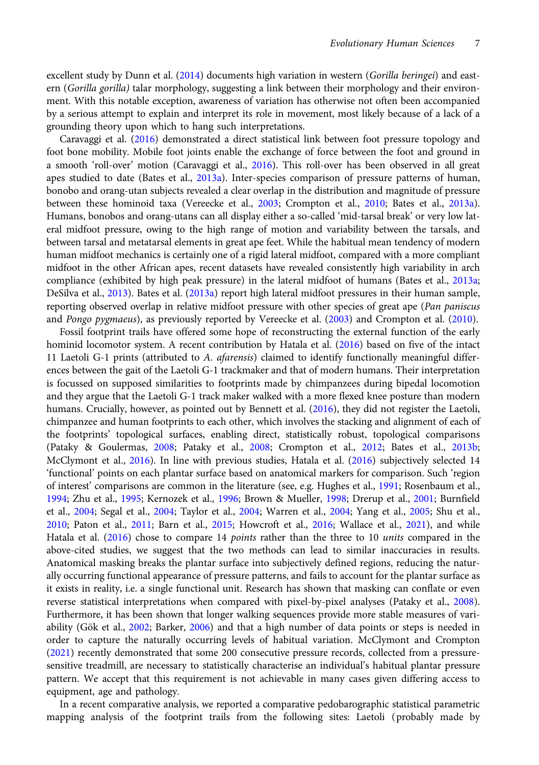excellent study by Dunn et al. [\(2014](#page-14-0)) documents high variation in western (Gorilla beringei) and eastern (Gorilla gorilla) talar morphology, suggesting a link between their morphology and their environment. With this notable exception, awareness of variation has otherwise not often been accompanied by a serious attempt to explain and interpret its role in movement, most likely because of a lack of a grounding theory upon which to hang such interpretations.

Caravaggi et al. ([2016\)](#page-14-0) demonstrated a direct statistical link between foot pressure topology and foot bone mobility. Mobile foot joints enable the exchange of force between the foot and ground in a smooth 'roll-over' motion (Caravaggi et al., [2016](#page-14-0)). This roll-over has been observed in all great apes studied to date (Bates et al., [2013a\)](#page-13-0). Inter-species comparison of pressure patterns of human, bonobo and orang-utan subjects revealed a clear overlap in the distribution and magnitude of pressure between these hominoid taxa (Vereecke et al., [2003;](#page-18-0) Crompton et al., [2010](#page-14-0); Bates et al., [2013a\)](#page-13-0). Humans, bonobos and orang-utans can all display either a so-called 'mid-tarsal break' or very low lateral midfoot pressure, owing to the high range of motion and variability between the tarsals, and between tarsal and metatarsal elements in great ape feet. While the habitual mean tendency of modern human midfoot mechanics is certainly one of a rigid lateral midfoot, compared with a more compliant midfoot in the other African apes, recent datasets have revealed consistently high variability in arch compliance (exhibited by high peak pressure) in the lateral midfoot of humans (Bates et al., [2013a](#page-13-0); DeSilva et al., [2013](#page-14-0)). Bates et al. [\(2013a](#page-13-0)) report high lateral midfoot pressures in their human sample, reporting observed overlap in relative midfoot pressure with other species of great ape (Pan paniscus and Pongo pygmaeus), as previously reported by Vereecke et al. ([2003](#page-18-0)) and Crompton et al. ([2010](#page-14-0)).

Fossil footprint trails have offered some hope of reconstructing the external function of the early hominid locomotor system. A recent contribution by Hatala et al. [\(2016](#page-15-0)) based on five of the intact 11 Laetoli G-1 prints (attributed to A. afarensis) claimed to identify functionally meaningful differences between the gait of the Laetoli G-1 trackmaker and that of modern humans. Their interpretation is focussed on supposed similarities to footprints made by chimpanzees during bipedal locomotion and they argue that the Laetoli G-1 track maker walked with a more flexed knee posture than modern humans. Crucially, however, as pointed out by Bennett et al. [\(2016](#page-13-0)), they did not register the Laetoli, chimpanzee and human footprints to each other, which involves the stacking and alignment of each of the footprints' topological surfaces, enabling direct, statistically robust, topological comparisons (Pataky & Goulermas, [2008;](#page-17-0) Pataky et al., [2008](#page-17-0); Crompton et al., [2012;](#page-14-0) Bates et al., [2013b](#page-13-0); McClymont et al., [2016](#page-16-0)). In line with previous studies, Hatala et al. [\(2016\)](#page-15-0) subjectively selected 14 'functional' points on each plantar surface based on anatomical markers for comparison. Such 'region of interest' comparisons are common in the literature (see, e.g. Hughes et al., [1991](#page-15-0); Rosenbaum et al., [1994](#page-17-0); Zhu et al., [1995](#page-19-0); Kernozek et al., [1996](#page-15-0); Brown & Mueller, [1998](#page-13-0); Drerup et al., [2001](#page-14-0); Burnfield et al., [2004](#page-13-0); Segal et al., [2004](#page-17-0); Taylor et al., [2004;](#page-18-0) Warren et al., [2004](#page-18-0); Yang et al., [2005;](#page-18-0) Shu et al., [2010](#page-17-0); Paton et al., [2011;](#page-17-0) Barn et al., [2015;](#page-13-0) Howcroft et al., [2016;](#page-15-0) Wallace et al., [2021](#page-18-0)), and while Hatala et al. [\(2016\)](#page-15-0) chose to compare 14 points rather than the three to 10 units compared in the above-cited studies, we suggest that the two methods can lead to similar inaccuracies in results. Anatomical masking breaks the plantar surface into subjectively defined regions, reducing the naturally occurring functional appearance of pressure patterns, and fails to account for the plantar surface as it exists in reality, i.e. a single functional unit. Research has shown that masking can conflate or even reverse statistical interpretations when compared with pixel-by-pixel analyses (Pataky et al., [2008\)](#page-17-0). Furthermore, it has been shown that longer walking sequences provide more stable measures of variability (Gök et al., [2002;](#page-15-0) Barker, [2006](#page-13-0)) and that a high number of data points or steps is needed in order to capture the naturally occurring levels of habitual variation. McClymont and Crompton ([2021\)](#page-16-0) recently demonstrated that some 200 consecutive pressure records, collected from a pressuresensitive treadmill, are necessary to statistically characterise an individual's habitual plantar pressure pattern. We accept that this requirement is not achievable in many cases given differing access to equipment, age and pathology.

In a recent comparative analysis, we reported a comparative pedobarographic statistical parametric mapping analysis of the footprint trails from the following sites: Laetoli (probably made by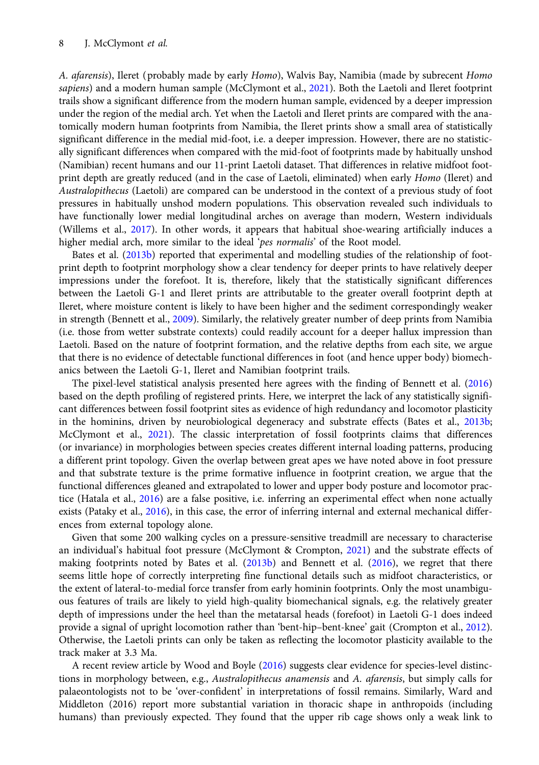A. afarensis), Ileret (probably made by early Homo), Walvis Bay, Namibia (made by subrecent Homo sapiens) and a modern human sample (McClymont et al., [2021\)](#page-16-0). Both the Laetoli and Ileret footprint trails show a significant difference from the modern human sample, evidenced by a deeper impression under the region of the medial arch. Yet when the Laetoli and Ileret prints are compared with the anatomically modern human footprints from Namibia, the Ileret prints show a small area of statistically significant difference in the medial mid-foot, i.e. a deeper impression. However, there are no statistically significant differences when compared with the mid-foot of footprints made by habitually unshod (Namibian) recent humans and our 11-print Laetoli dataset. That differences in relative midfoot footprint depth are greatly reduced (and in the case of Laetoli, eliminated) when early Homo (Ileret) and Australopithecus (Laetoli) are compared can be understood in the context of a previous study of foot pressures in habitually unshod modern populations. This observation revealed such individuals to have functionally lower medial longitudinal arches on average than modern, Western individuals (Willems et al., [2017](#page-18-0)). In other words, it appears that habitual shoe-wearing artificially induces a higher medial arch, more similar to the ideal 'pes normalis' of the Root model.

Bates et al. [\(2013b\)](#page-13-0) reported that experimental and modelling studies of the relationship of footprint depth to footprint morphology show a clear tendency for deeper prints to have relatively deeper impressions under the forefoot. It is, therefore, likely that the statistically significant differences between the Laetoli G-1 and Ileret prints are attributable to the greater overall footprint depth at Ileret, where moisture content is likely to have been higher and the sediment correspondingly weaker in strength (Bennett et al., [2009\)](#page-13-0). Similarly, the relatively greater number of deep prints from Namibia (i.e. those from wetter substrate contexts) could readily account for a deeper hallux impression than Laetoli. Based on the nature of footprint formation, and the relative depths from each site, we argue that there is no evidence of detectable functional differences in foot (and hence upper body) biomechanics between the Laetoli G-1, Ileret and Namibian footprint trails.

The pixel-level statistical analysis presented here agrees with the finding of Bennett et al. ([2016](#page-13-0)) based on the depth profiling of registered prints. Here, we interpret the lack of any statistically significant differences between fossil footprint sites as evidence of high redundancy and locomotor plasticity in the hominins, driven by neurobiological degeneracy and substrate effects (Bates et al., [2013b;](#page-13-0) McClymont et al., [2021](#page-16-0)). The classic interpretation of fossil footprints claims that differences (or invariance) in morphologies between species creates different internal loading patterns, producing a different print topology. Given the overlap between great apes we have noted above in foot pressure and that substrate texture is the prime formative influence in footprint creation, we argue that the functional differences gleaned and extrapolated to lower and upper body posture and locomotor practice (Hatala et al., [2016](#page-15-0)) are a false positive, i.e. inferring an experimental effect when none actually exists (Pataky et al., [2016](#page-17-0)), in this case, the error of inferring internal and external mechanical differences from external topology alone.

Given that some 200 walking cycles on a pressure-sensitive treadmill are necessary to characterise an individual's habitual foot pressure (McClymont & Crompton, [2021\)](#page-16-0) and the substrate effects of making footprints noted by Bates et al. ([2013b](#page-13-0)) and Bennett et al. [\(2016\)](#page-13-0), we regret that there seems little hope of correctly interpreting fine functional details such as midfoot characteristics, or the extent of lateral-to-medial force transfer from early hominin footprints. Only the most unambiguous features of trails are likely to yield high-quality biomechanical signals, e.g. the relatively greater depth of impressions under the heel than the metatarsal heads (forefoot) in Laetoli G-1 does indeed provide a signal of upright locomotion rather than 'bent-hip-bent-knee' gait (Crompton et al., [2012](#page-14-0)). Otherwise, the Laetoli prints can only be taken as reflecting the locomotor plasticity available to the track maker at 3.3 Ma.

A recent review article by Wood and Boyle [\(2016\)](#page-18-0) suggests clear evidence for species-level distinctions in morphology between, e.g., Australopithecus anamensis and A. afarensis, but simply calls for palaeontologists not to be 'over-confident' in interpretations of fossil remains. Similarly, Ward and Middleton (2016) report more substantial variation in thoracic shape in anthropoids (including humans) than previously expected. They found that the upper rib cage shows only a weak link to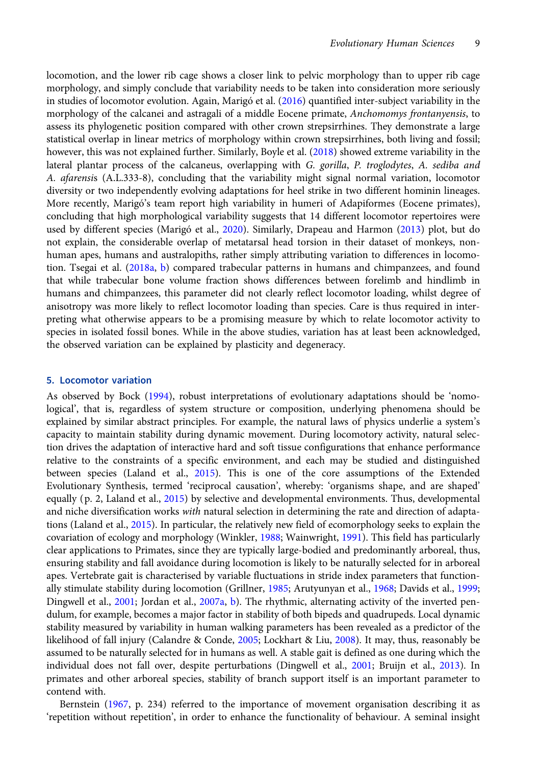locomotion, and the lower rib cage shows a closer link to pelvic morphology than to upper rib cage morphology, and simply conclude that variability needs to be taken into consideration more seriously in studies of locomotor evolution. Again, Marigó et al. ([2016\)](#page-16-0) quantified inter-subject variability in the morphology of the calcanei and astragali of a middle Eocene primate, Anchomomys frontanyensis, to assess its phylogenetic position compared with other crown strepsirrhines. They demonstrate a large statistical overlap in linear metrics of morphology within crown strepsirrhines, both living and fossil; however, this was not explained further. Similarly, Boyle et al. ([2018](#page-13-0)) showed extreme variability in the lateral plantar process of the calcaneus, overlapping with G. gorilla, P. troglodytes, A. sediba and A. afarensis (A.L.333-8), concluding that the variability might signal normal variation, locomotor diversity or two independently evolving adaptations for heel strike in two different hominin lineages. More recently, Marigó's team report high variability in humeri of Adapiformes (Eocene primates), concluding that high morphological variability suggests that 14 different locomotor repertoires were used by different species (Marigó et al., [2020](#page-16-0)). Similarly, Drapeau and Harmon ([2013](#page-14-0)) plot, but do not explain, the considerable overlap of metatarsal head torsion in their dataset of monkeys, nonhuman apes, humans and australopiths, rather simply attributing variation to differences in locomotion. Tsegai et al. [\(2018a](#page-18-0), [b\)](#page-18-0) compared trabecular patterns in humans and chimpanzees, and found that while trabecular bone volume fraction shows differences between forelimb and hindlimb in humans and chimpanzees, this parameter did not clearly reflect locomotor loading, whilst degree of anisotropy was more likely to reflect locomotor loading than species. Care is thus required in interpreting what otherwise appears to be a promising measure by which to relate locomotor activity to species in isolated fossil bones. While in the above studies, variation has at least been acknowledged, the observed variation can be explained by plasticity and degeneracy.

### 5. Locomotor variation

As observed by Bock ([1994](#page-13-0)), robust interpretations of evolutionary adaptations should be 'nomological', that is, regardless of system structure or composition, underlying phenomena should be explained by similar abstract principles. For example, the natural laws of physics underlie a system's capacity to maintain stability during dynamic movement. During locomotory activity, natural selection drives the adaptation of interactive hard and soft tissue configurations that enhance performance relative to the constraints of a specific environment, and each may be studied and distinguished between species (Laland et al., [2015\)](#page-15-0). This is one of the core assumptions of the Extended Evolutionary Synthesis, termed 'reciprocal causation', whereby: 'organisms shape, and are shaped' equally (p. 2, Laland et al., [2015\)](#page-15-0) by selective and developmental environments. Thus, developmental and niche diversification works with natural selection in determining the rate and direction of adaptations (Laland et al., [2015\)](#page-15-0). In particular, the relatively new field of ecomorphology seeks to explain the covariation of ecology and morphology (Winkler, [1988;](#page-18-0) Wainwright, [1991](#page-18-0)). This field has particularly clear applications to Primates, since they are typically large-bodied and predominantly arboreal, thus, ensuring stability and fall avoidance during locomotion is likely to be naturally selected for in arboreal apes. Vertebrate gait is characterised by variable fluctuations in stride index parameters that functionally stimulate stability during locomotion (Grillner, [1985;](#page-15-0) Arutyunyan et al., [1968;](#page-13-0) Davids et al., [1999](#page-14-0); Dingwell et al., [2001;](#page-14-0) Jordan et al., [2007a,](#page-15-0) [b\)](#page-15-0). The rhythmic, alternating activity of the inverted pendulum, for example, becomes a major factor in stability of both bipeds and quadrupeds. Local dynamic stability measured by variability in human walking parameters has been revealed as a predictor of the likelihood of fall injury (Calandre & Conde, [2005](#page-13-0); Lockhart & Liu, [2008](#page-16-0)). It may, thus, reasonably be assumed to be naturally selected for in humans as well. A stable gait is defined as one during which the individual does not fall over, despite perturbations (Dingwell et al., [2001;](#page-14-0) Bruijn et al., [2013](#page-13-0)). In primates and other arboreal species, stability of branch support itself is an important parameter to contend with.

Bernstein ([1967,](#page-13-0) p. 234) referred to the importance of movement organisation describing it as 'repetition without repetition', in order to enhance the functionality of behaviour. A seminal insight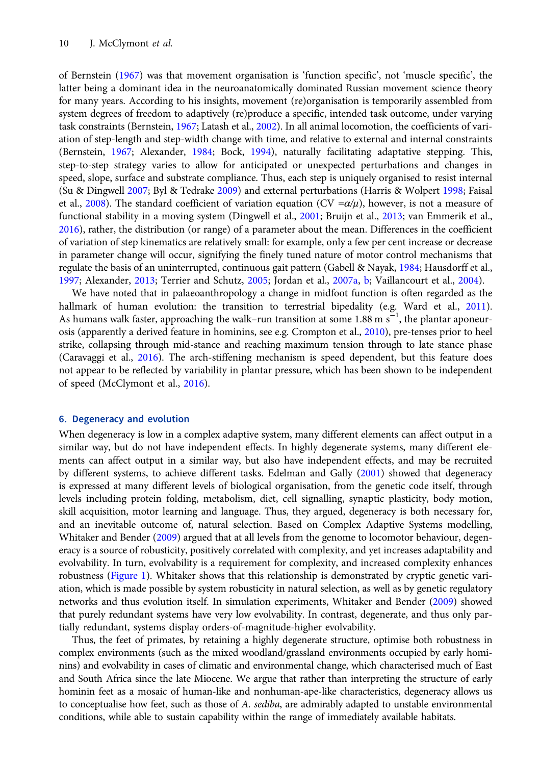of Bernstein ([1967\)](#page-13-0) was that movement organisation is 'function specific', not 'muscle specific', the latter being a dominant idea in the neuroanatomically dominated Russian movement science theory for many years. According to his insights, movement (re)organisation is temporarily assembled from system degrees of freedom to adaptively (re)produce a specific, intended task outcome, under varying task constraints (Bernstein, [1967;](#page-13-0) Latash et al., [2002](#page-16-0)). In all animal locomotion, the coefficients of variation of step-length and step-width change with time, and relative to external and internal constraints (Bernstein, [1967](#page-13-0); Alexander, [1984;](#page-13-0) Bock, [1994](#page-13-0)), naturally facilitating adaptative stepping. This, step-to-step strategy varies to allow for anticipated or unexpected perturbations and changes in speed, slope, surface and substrate compliance. Thus, each step is uniquely organised to resist internal (Su & Dingwell [2007](#page-18-0); Byl & Tedrake [2009\)](#page-13-0) and external perturbations (Harris & Wolpert [1998;](#page-15-0) Faisal et al., [2008\)](#page-15-0). The standard coefficient of variation equation (CV = $\alpha/\mu$ ), however, is not a measure of functional stability in a moving system (Dingwell et al., [2001](#page-14-0); Bruijn et al., [2013;](#page-13-0) van Emmerik et al., [2016\)](#page-18-0), rather, the distribution (or range) of a parameter about the mean. Differences in the coefficient of variation of step kinematics are relatively small: for example, only a few per cent increase or decrease in parameter change will occur, signifying the finely tuned nature of motor control mechanisms that regulate the basis of an uninterrupted, continuous gait pattern (Gabell & Nayak, [1984](#page-15-0); Hausdorff et al., [1997;](#page-15-0) Alexander, [2013;](#page-13-0) Terrier and Schutz, [2005](#page-18-0); Jordan et al., [2007a,](#page-15-0) [b;](#page-15-0) Vaillancourt et al., [2004](#page-18-0)).

We have noted that in palaeoanthropology a change in midfoot function is often regarded as the hallmark of human evolution: the transition to terrestrial bipedality (e.g. Ward et al., [2011](#page-18-0)). As humans walk faster, approaching the walk–run transition at some 1.88 m s<sup>-1</sup>, the plantar aponeurosis (apparently a derived feature in hominins, see e.g. Crompton et al., [2010](#page-14-0)), pre-tenses prior to heel strike, collapsing through mid-stance and reaching maximum tension through to late stance phase (Caravaggi et al., [2016\)](#page-14-0). The arch-stiffening mechanism is speed dependent, but this feature does not appear to be reflected by variability in plantar pressure, which has been shown to be independent of speed (McClymont et al., [2016\)](#page-16-0).

#### 6. Degeneracy and evolution

When degeneracy is low in a complex adaptive system, many different elements can affect output in a similar way, but do not have independent effects. In highly degenerate systems, many different elements can affect output in a similar way, but also have independent effects, and may be recruited by different systems, to achieve different tasks. Edelman and Gally ([2001\)](#page-14-0) showed that degeneracy is expressed at many different levels of biological organisation, from the genetic code itself, through levels including protein folding, metabolism, diet, cell signalling, synaptic plasticity, body motion, skill acquisition, motor learning and language. Thus, they argued, degeneracy is both necessary for, and an inevitable outcome of, natural selection. Based on Complex Adaptive Systems modelling, Whitaker and Bender [\(2009](#page-18-0)) argued that at all levels from the genome to locomotor behaviour, degeneracy is a source of robusticity, positively correlated with complexity, and yet increases adaptability and evolvability. In turn, evolvability is a requirement for complexity, and increased complexity enhances robustness [\(Figure 1\)](#page-11-0). Whitaker shows that this relationship is demonstrated by cryptic genetic variation, which is made possible by system robusticity in natural selection, as well as by genetic regulatory networks and thus evolution itself. In simulation experiments, Whitaker and Bender [\(2009](#page-18-0)) showed that purely redundant systems have very low evolvability. In contrast, degenerate, and thus only partially redundant, systems display orders-of-magnitude-higher evolvability.

Thus, the feet of primates, by retaining a highly degenerate structure, optimise both robustness in complex environments (such as the mixed woodland/grassland environments occupied by early hominins) and evolvability in cases of climatic and environmental change, which characterised much of East and South Africa since the late Miocene. We argue that rather than interpreting the structure of early hominin feet as a mosaic of human-like and nonhuman-ape-like characteristics, degeneracy allows us to conceptualise how feet, such as those of A. sediba, are admirably adapted to unstable environmental conditions, while able to sustain capability within the range of immediately available habitats.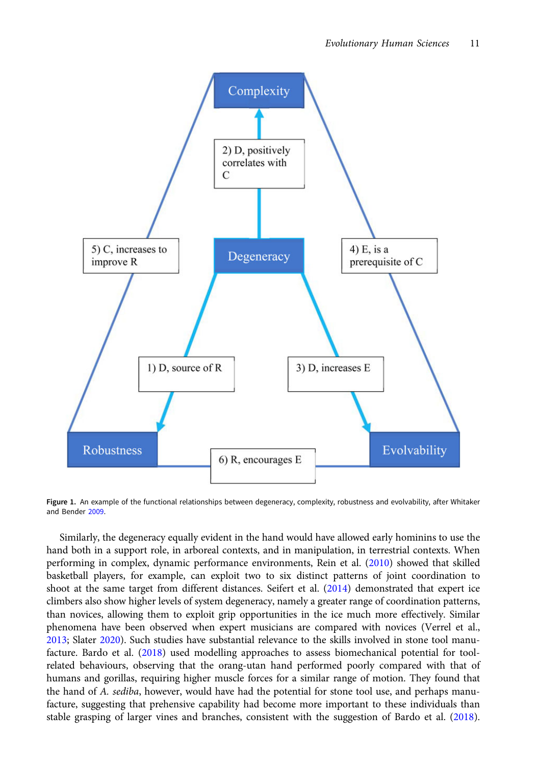<span id="page-11-0"></span>

Figure 1. An example of the functional relationships between degeneracy, complexity, robustness and evolvability, after Whitaker and Bender [2009](#page-18-0).

Similarly, the degeneracy equally evident in the hand would have allowed early hominins to use the hand both in a support role, in arboreal contexts, and in manipulation, in terrestrial contexts. When performing in complex, dynamic performance environments, Rein et al. ([2010](#page-17-0)) showed that skilled basketball players, for example, can exploit two to six distinct patterns of joint coordination to shoot at the same target from different distances. Seifert et al. [\(2014](#page-17-0)) demonstrated that expert ice climbers also show higher levels of system degeneracy, namely a greater range of coordination patterns, than novices, allowing them to exploit grip opportunities in the ice much more effectively. Similar phenomena have been observed when expert musicians are compared with novices (Verrel et al., [2013](#page-18-0); Slater [2020](#page-17-0)). Such studies have substantial relevance to the skills involved in stone tool manufacture. Bardo et al. ([2018](#page-13-0)) used modelling approaches to assess biomechanical potential for toolrelated behaviours, observing that the orang-utan hand performed poorly compared with that of humans and gorillas, requiring higher muscle forces for a similar range of motion. They found that the hand of A. sediba, however, would have had the potential for stone tool use, and perhaps manufacture, suggesting that prehensive capability had become more important to these individuals than stable grasping of larger vines and branches, consistent with the suggestion of Bardo et al. [\(2018\)](#page-13-0).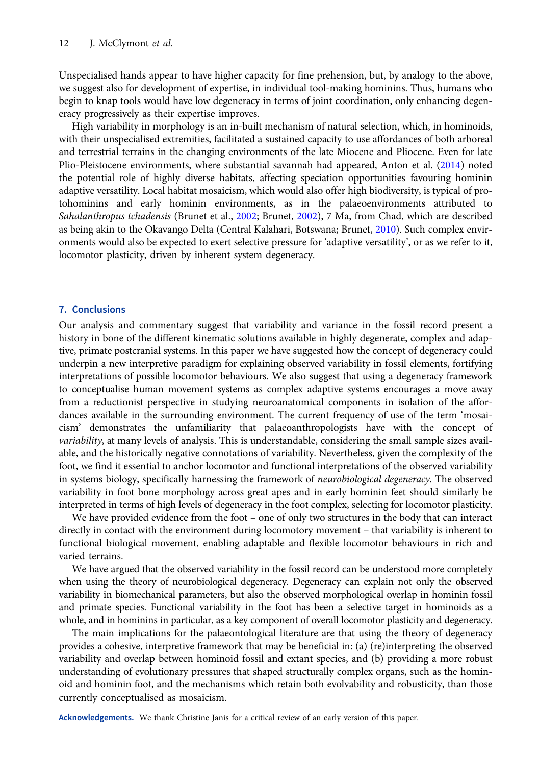Unspecialised hands appear to have higher capacity for fine prehension, but, by analogy to the above, we suggest also for development of expertise, in individual tool-making hominins. Thus, humans who begin to knap tools would have low degeneracy in terms of joint coordination, only enhancing degeneracy progressively as their expertise improves.

High variability in morphology is an in-built mechanism of natural selection, which, in hominoids, with their unspecialised extremities, facilitated a sustained capacity to use affordances of both arboreal and terrestrial terrains in the changing environments of the late Miocene and Pliocene. Even for late Plio-Pleistocene environments, where substantial savannah had appeared, Anton et al. ([2014\)](#page-13-0) noted the potential role of highly diverse habitats, affecting speciation opportunities favouring hominin adaptive versatility. Local habitat mosaicism, which would also offer high biodiversity, is typical of protohominins and early hominin environments, as in the palaeoenvironments attributed to Sahalanthropus tchadensis (Brunet et al., [2002;](#page-13-0) Brunet, [2002](#page-13-0)), 7 Ma, from Chad, which are described as being akin to the Okavango Delta (Central Kalahari, Botswana; Brunet, [2010](#page-13-0)). Such complex environments would also be expected to exert selective pressure for 'adaptive versatility', or as we refer to it, locomotor plasticity, driven by inherent system degeneracy.

# 7. Conclusions

Our analysis and commentary suggest that variability and variance in the fossil record present a history in bone of the different kinematic solutions available in highly degenerate, complex and adaptive, primate postcranial systems. In this paper we have suggested how the concept of degeneracy could underpin a new interpretive paradigm for explaining observed variability in fossil elements, fortifying interpretations of possible locomotor behaviours. We also suggest that using a degeneracy framework to conceptualise human movement systems as complex adaptive systems encourages a move away from a reductionist perspective in studying neuroanatomical components in isolation of the affordances available in the surrounding environment. The current frequency of use of the term 'mosaicism' demonstrates the unfamiliarity that palaeoanthropologists have with the concept of variability, at many levels of analysis. This is understandable, considering the small sample sizes available, and the historically negative connotations of variability. Nevertheless, given the complexity of the foot, we find it essential to anchor locomotor and functional interpretations of the observed variability in systems biology, specifically harnessing the framework of neurobiological degeneracy. The observed variability in foot bone morphology across great apes and in early hominin feet should similarly be interpreted in terms of high levels of degeneracy in the foot complex, selecting for locomotor plasticity.

We have provided evidence from the foot – one of only two structures in the body that can interact directly in contact with the environment during locomotory movement – that variability is inherent to functional biological movement, enabling adaptable and flexible locomotor behaviours in rich and varied terrains.

We have argued that the observed variability in the fossil record can be understood more completely when using the theory of neurobiological degeneracy. Degeneracy can explain not only the observed variability in biomechanical parameters, but also the observed morphological overlap in hominin fossil and primate species. Functional variability in the foot has been a selective target in hominoids as a whole, and in hominins in particular, as a key component of overall locomotor plasticity and degeneracy.

The main implications for the palaeontological literature are that using the theory of degeneracy provides a cohesive, interpretive framework that may be beneficial in: (a) (re)interpreting the observed variability and overlap between hominoid fossil and extant species, and (b) providing a more robust understanding of evolutionary pressures that shaped structurally complex organs, such as the hominoid and hominin foot, and the mechanisms which retain both evolvability and robusticity, than those currently conceptualised as mosaicism.

Acknowledgements. We thank Christine Janis for a critical review of an early version of this paper.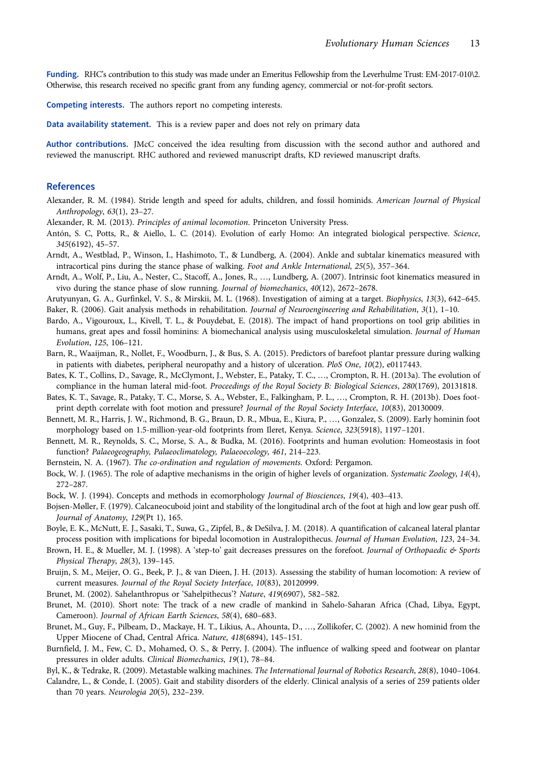<span id="page-13-0"></span>Funding. RHC's contribution to this study was made under an Emeritus Fellowship from the Leverhulme Trust: EM-2017-010\2. Otherwise, this research received no specific grant from any funding agency, commercial or not-for-profit sectors.

Competing interests. The authors report no competing interests.

Data availability statement. This is a review paper and does not rely on primary data

Author contributions. JMcC conceived the idea resulting from discussion with the second author and authored and reviewed the manuscript. RHC authored and reviewed manuscript drafts, KD reviewed manuscript drafts.

#### References

- Alexander, R. M. (1984). Stride length and speed for adults, children, and fossil hominids. American Journal of Physical Anthropology, 63(1), 23–27.
- Alexander, R. M. (2013). Principles of animal locomotion. Princeton University Press.
- Antón, S. C, Potts, R., & Aiello, L. C. (2014). Evolution of early Homo: An integrated biological perspective. Science, 345(6192), 45–57.
- Arndt, A., Westblad, P., Winson, I., Hashimoto, T., & Lundberg, A. (2004). Ankle and subtalar kinematics measured with intracortical pins during the stance phase of walking. Foot and Ankle International, 25(5), 357–364.
- Arndt, A., Wolf, P., Liu, A., Nester, C., Stacoff, A., Jones, R., …, Lundberg, A. (2007). Intrinsic foot kinematics measured in vivo during the stance phase of slow running. Journal of biomechanics, 40(12), 2672–2678.
- Arutyunyan, G. A., Gurfinkel, V. S., & Mirskii, M. L. (1968). Investigation of aiming at a target. Biophysics, 13(3), 642–645.

Baker, R. (2006). Gait analysis methods in rehabilitation. Journal of Neuroengineering and Rehabilitation, 3(1), 1–10.

- Bardo, A., Vigouroux, L., Kivell, T. L., & Pouydebat, E. (2018). The impact of hand proportions on tool grip abilities in humans, great apes and fossil hominins: A biomechanical analysis using musculoskeletal simulation. Journal of Human Evolution, 125, 106–121.
- Barn, R., Waaijman, R., Nollet, F., Woodburn, J., & Bus, S. A. (2015). Predictors of barefoot plantar pressure during walking in patients with diabetes, peripheral neuropathy and a history of ulceration. PloS One, 10(2), e0117443.
- Bates, K. T., Collins, D., Savage, R., McClymont, J., Webster, E., Pataky, T. C., …, Crompton, R. H. (2013a). The evolution of compliance in the human lateral mid-foot. Proceedings of the Royal Society B: Biological Sciences, 280(1769), 20131818.
- Bates, K. T., Savage, R., Pataky, T. C., Morse, S. A., Webster, E., Falkingham, P. L., …, Crompton, R. H. (2013b). Does footprint depth correlate with foot motion and pressure? Journal of the Royal Society Interface, 10(83), 20130009.
- Bennett, M. R., Harris, J. W., Richmond, B. G., Braun, D. R., Mbua, E., Kiura, P., …, Gonzalez, S. (2009). Early hominin foot morphology based on 1.5-million-year-old footprints from Ileret, Kenya. Science, 323(5918), 1197–1201.
- Bennett, M. R., Reynolds, S. C., Morse, S. A., & Budka, M. (2016). Footprints and human evolution: Homeostasis in foot function? Palaeogeography, Palaeoclimatology, Palaeoecology, 461, 214–223.
- Bernstein, N. A. (1967). The co-ordination and regulation of movements. Oxford: Pergamon.
- Bock, W. J. (1965). The role of adaptive mechanisms in the origin of higher levels of organization. Systematic Zoology, 14(4), 272–287.
- Bock, W. J. (1994). Concepts and methods in ecomorphology Journal of Biosciences, 19(4), 403–413.
- Bojsen-Møller, F. (1979). Calcaneocuboid joint and stability of the longitudinal arch of the foot at high and low gear push off. Journal of Anatomy, 129(Pt 1), 165.
- Boyle, E. K., McNutt, E. J., Sasaki, T., Suwa, G., Zipfel, B., & DeSilva, J. M. (2018). A quantification of calcaneal lateral plantar process position with implications for bipedal locomotion in Australopithecus. Journal of Human Evolution, 123, 24–34.
- Brown, H. E., & Mueller, M. J. (1998). A 'step-to' gait decreases pressures on the forefoot. Journal of Orthopaedic & Sports Physical Therapy, 28(3), 139–145.
- Bruijn, S. M., Meijer, O. G., Beek, P. J., & van Dieen, J. H. (2013). Assessing the stability of human locomotion: A review of current measures. Journal of the Royal Society Interface, 10(83), 20120999.
- Brunet, M. (2002). Sahelanthropus or 'Sahelpithecus'? Nature, 419(6907), 582–582.
- Brunet, M. (2010). Short note: The track of a new cradle of mankind in Sahelo-Saharan Africa (Chad, Libya, Egypt, Cameroon). Journal of African Earth Sciences, 58(4), 680–683.
- Brunet, M., Guy, F., Pilbeam, D., Mackaye, H. T., Likius, A., Ahounta, D., …, Zollikofer, C. (2002). A new hominid from the Upper Miocene of Chad, Central Africa. Nature, 418(6894), 145–151.
- Burnfield, J. M., Few, C. D., Mohamed, O. S., & Perry, J. (2004). The influence of walking speed and footwear on plantar pressures in older adults. Clinical Biomechanics, 19(1), 78–84.
- Byl, K., & Tedrake, R. (2009). Metastable walking machines. The International Journal of Robotics Research, 28(8), 1040–1064.
- Calandre, L., & Conde, I. (2005). Gait and stability disorders of the elderly. Clinical analysis of a series of 259 patients older than 70 years. Neurologia 20(5), 232–239.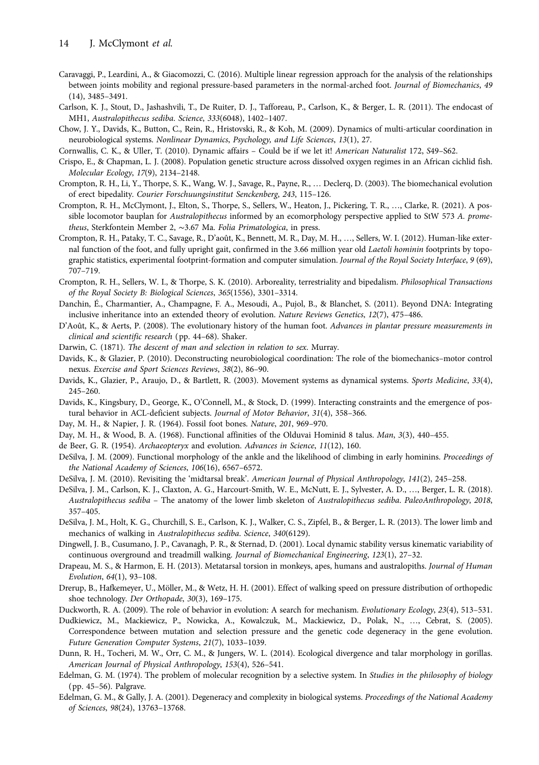- <span id="page-14-0"></span>Caravaggi, P., Leardini, A., & Giacomozzi, C. (2016). Multiple linear regression approach for the analysis of the relationships between joints mobility and regional pressure-based parameters in the normal-arched foot. Journal of Biomechanics, 49 (14), 3485–3491.
- Carlson, K. J., Stout, D., Jashashvili, T., De Ruiter, D. J., Tafforeau, P., Carlson, K., & Berger, L. R. (2011). The endocast of MH1, Australopithecus sediba. Science, 333(6048), 1402–1407.
- Chow, J. Y., Davids, K., Button, C., Rein, R., Hristovski, R., & Koh, M. (2009). Dynamics of multi-articular coordination in neurobiological systems. Nonlinear Dynamics, Psychology, and Life Sciences, 13(1), 27.
- Cornwallis, C. K., & Uller, T. (2010). Dynamic affairs Could be if we let it! American Naturalist 172, S49–S62.
- Crispo, E., & Chapman, L. J. (2008). Population genetic structure across dissolved oxygen regimes in an African cichlid fish. Molecular Ecology, 17(9), 2134–2148.
- Crompton, R. H., Li, Y., Thorpe, S. K., Wang, W. J., Savage, R., Payne, R., … Declerq, D. (2003). The biomechanical evolution of erect bipedality. Courier Forschuungsinstitut Senckenberg, 243, 115–126.
- Crompton, R. H., McClymont, J., Elton, S., Thorpe, S., Sellers, W., Heaton, J., Pickering, T. R., …, Clarke, R. (2021). A possible locomotor bauplan for Australopithecus informed by an ecomorphology perspective applied to StW 573 A. prometheus, Sterkfontein Member 2, ∼3.67 Ma. Folia Primatologica, in press.
- Crompton, R. H., Pataky, T. C., Savage, R., D'août, K., Bennett, M. R., Day, M. H., …, Sellers, W. I. (2012). Human-like external function of the foot, and fully upright gait, confirmed in the 3.66 million year old Laetoli hominin footprints by topographic statistics, experimental footprint-formation and computer simulation. Journal of the Royal Society Interface, 9 (69), 707–719.
- Crompton, R. H., Sellers, W. I., & Thorpe, S. K. (2010). Arboreality, terrestriality and bipedalism. Philosophical Transactions of the Royal Society B: Biological Sciences, 365(1556), 3301–3314.
- Danchin, É., Charmantier, A., Champagne, F. A., Mesoudi, A., Pujol, B., & Blanchet, S. (2011). Beyond DNA: Integrating inclusive inheritance into an extended theory of evolution. Nature Reviews Genetics, 12(7), 475–486.
- D'Août, K., & Aerts, P. (2008). The evolutionary history of the human foot. Advances in plantar pressure measurements in clinical and scientific research (pp. 44–68). Shaker.
- Darwin, C. (1871). The descent of man and selection in relation to sex. Murray.
- Davids, K., & Glazier, P. (2010). Deconstructing neurobiological coordination: The role of the biomechanics–motor control nexus. Exercise and Sport Sciences Reviews, 38(2), 86–90.
- Davids, K., Glazier, P., Araujo, D., & Bartlett, R. (2003). Movement systems as dynamical systems. Sports Medicine, 33(4), 245–260.
- Davids, K., Kingsbury, D., George, K., O'Connell, M., & Stock, D. (1999). Interacting constraints and the emergence of postural behavior in ACL-deficient subjects. Journal of Motor Behavior, 31(4), 358–366.
- Day, M. H., & Napier, J. R. (1964). Fossil foot bones. Nature, 201, 969–970.
- Day, M. H., & Wood, B. A. (1968). Functional affinities of the Olduvai Hominid 8 talus. Man, 3(3), 440–455.
- de Beer, G. R. (1954). Archaeopteryx and evolution. Advances in Science, 11(12), 160.
- DeSilva, J. M. (2009). Functional morphology of the ankle and the likelihood of climbing in early hominins. Proceedings of the National Academy of Sciences, 106(16), 6567–6572.
- DeSilva, J. M. (2010). Revisiting the 'midtarsal break'. American Journal of Physical Anthropology, 141(2), 245–258.
- DeSilva, J. M., Carlson, K. J., Claxton, A. G., Harcourt-Smith, W. E., McNutt, E. J., Sylvester, A. D., …, Berger, L. R. (2018). Australopithecus sediba – The anatomy of the lower limb skeleton of Australopithecus sediba. PaleoAnthropology, 2018, 357–405.
- DeSilva, J. M., Holt, K. G., Churchill, S. E., Carlson, K. J., Walker, C. S., Zipfel, B., & Berger, L. R. (2013). The lower limb and mechanics of walking in Australopithecus sediba. Science, 340(6129).
- Dingwell, J. B., Cusumano, J. P., Cavanagh, P. R., & Sternad, D. (2001). Local dynamic stability versus kinematic variability of continuous overground and treadmill walking. Journal of Biomechanical Engineering, 123(1), 27–32.
- Drapeau, M. S., & Harmon, E. H. (2013). Metatarsal torsion in monkeys, apes, humans and australopiths. Journal of Human Evolution, 64(1), 93–108.
- Drerup, B., Hafkemeyer, U., Möller, M., & Wetz, H. H. (2001). Effect of walking speed on pressure distribution of orthopedic shoe technology. Der Orthopade, 30(3), 169–175.
- Duckworth, R. A. (2009). The role of behavior in evolution: A search for mechanism. Evolutionary Ecology, 23(4), 513–531.
- Dudkiewicz, M., Mackiewicz, P., Nowicka, A., Kowalczuk, M., Mackiewicz, D., Polak, N., …, Cebrat, S. (2005). Correspondence between mutation and selection pressure and the genetic code degeneracy in the gene evolution. Future Generation Computer Systems, 21(7), 1033–1039.
- Dunn, R. H., Tocheri, M. W., Orr, C. M., & Jungers, W. L. (2014). Ecological divergence and talar morphology in gorillas. American Journal of Physical Anthropology, 153(4), 526–541.
- Edelman, G. M. (1974). The problem of molecular recognition by a selective system. In Studies in the philosophy of biology (pp. 45–56). Palgrave.
- Edelman, G. M., & Gally, J. A. (2001). Degeneracy and complexity in biological systems. Proceedings of the National Academy of Sciences, 98(24), 13763–13768.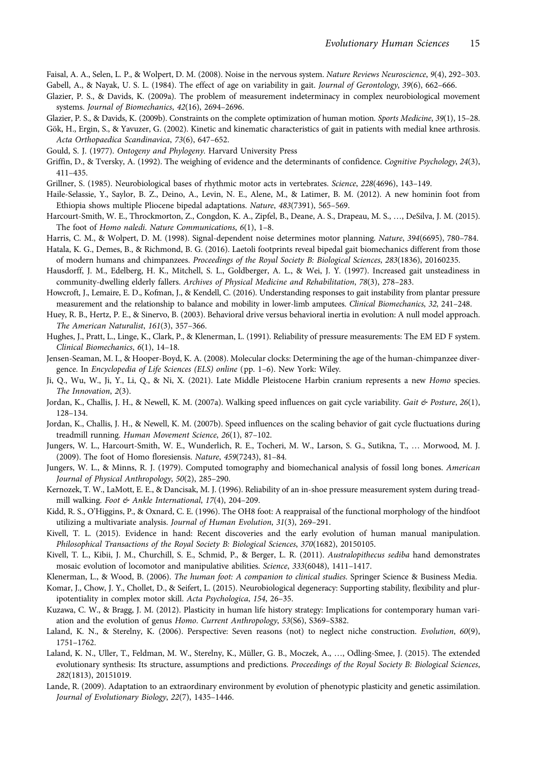<span id="page-15-0"></span>Faisal, A. A., Selen, L. P., & Wolpert, D. M. (2008). Noise in the nervous system. Nature Reviews Neuroscience, 9(4), 292–303. Gabell, A., & Nayak, U. S. L. (1984). The effect of age on variability in gait. Journal of Gerontology, 39(6), 662–666.

- Glazier, P. S., & Davids, K. (2009a). The problem of measurement indeterminacy in complex neurobiological movement systems. Journal of Biomechanics, 42(16), 2694–2696.
- Glazier, P. S., & Davids, K. (2009b). Constraints on the complete optimization of human motion. Sports Medicine, 39(1), 15–28.
- Gök, H., Ergin, S., & Yavuzer, G. (2002). Kinetic and kinematic characteristics of gait in patients with medial knee arthrosis. Acta Orthopaedica Scandinavica, 73(6), 647–652.
- Gould, S. J. (1977). Ontogeny and Phylogeny. Harvard University Press
- Griffin, D., & Tversky, A. (1992). The weighing of evidence and the determinants of confidence. Cognitive Psychology, 24(3), 411–435.
- Grillner, S. (1985). Neurobiological bases of rhythmic motor acts in vertebrates. Science, 228(4696), 143–149.
- Haile-Selassie, Y., Saylor, B. Z., Deino, A., Levin, N. E., Alene, M., & Latimer, B. M. (2012). A new hominin foot from Ethiopia shows multiple Pliocene bipedal adaptations. Nature, 483(7391), 565–569.
- Harcourt-Smith, W. E., Throckmorton, Z., Congdon, K. A., Zipfel, B., Deane, A. S., Drapeau, M. S., …, DeSilva, J. M. (2015). The foot of Homo naledi. Nature Communications, 6(1), 1–8.
- Harris, C. M., & Wolpert, D. M. (1998). Signal-dependent noise determines motor planning. Nature, 394(6695), 780–784.
- Hatala, K. G., Demes, B., & Richmond, B. G. (2016). Laetoli footprints reveal bipedal gait biomechanics different from those of modern humans and chimpanzees. Proceedings of the Royal Society B: Biological Sciences, 283(1836), 20160235.
- Hausdorff, J. M., Edelberg, H. K., Mitchell, S. L., Goldberger, A. L., & Wei, J. Y. (1997). Increased gait unsteadiness in community-dwelling elderly fallers. Archives of Physical Medicine and Rehabilitation, 78(3), 278–283.
- Howcroft, J., Lemaire, E. D., Kofman, J., & Kendell, C. (2016). Understanding responses to gait instability from plantar pressure measurement and the relationship to balance and mobility in lower-limb amputees. Clinical Biomechanics, 32, 241–248.
- Huey, R. B., Hertz, P. E., & Sinervo, B. (2003). Behavioral drive versus behavioral inertia in evolution: A null model approach. The American Naturalist, 161(3), 357–366.
- Hughes, J., Pratt, L., Linge, K., Clark, P., & Klenerman, L. (1991). Reliability of pressure measurements: The EM ED F system. Clinical Biomechanics, 6(1), 14–18.
- Jensen-Seaman, M. I., & Hooper-Boyd, K. A. (2008). Molecular clocks: Determining the age of the human-chimpanzee divergence. In Encyclopedia of Life Sciences (ELS) online (pp. 1–6). New York: Wiley.
- Ji, Q., Wu, W., Ji, Y., Li, Q., & Ni, X. (2021). Late Middle Pleistocene Harbin cranium represents a new Homo species. The Innovation, 2(3).
- Jordan, K., Challis, J. H., & Newell, K. M. (2007a). Walking speed influences on gait cycle variability. Gait & Posture, 26(1), 128–134.
- Jordan, K., Challis, J. H., & Newell, K. M. (2007b). Speed influences on the scaling behavior of gait cycle fluctuations during treadmill running. Human Movement Science, 26(1), 87–102.
- Jungers, W. L., Harcourt-Smith, W. E., Wunderlich, R. E., Tocheri, M. W., Larson, S. G., Sutikna, T., … Morwood, M. J. (2009). The foot of Homo floresiensis. Nature, 459(7243), 81–84.
- Jungers, W. L., & Minns, R. J. (1979). Computed tomography and biomechanical analysis of fossil long bones. American Journal of Physical Anthropology, 50(2), 285–290.
- Kernozek, T. W., LaMott, E. E., & Dancisak, M. J. (1996). Reliability of an in-shoe pressure measurement system during treadmill walking. Foot & Ankle International, 17(4), 204–209.
- Kidd, R. S., O'Higgins, P., & Oxnard, C. E. (1996). The OH8 foot: A reappraisal of the functional morphology of the hindfoot utilizing a multivariate analysis. Journal of Human Evolution, 31(3), 269–291.
- Kivell, T. L. (2015). Evidence in hand: Recent discoveries and the early evolution of human manual manipulation. Philosophical Transactions of the Royal Society B: Biological Sciences, 370(1682), 20150105.
- Kivell, T. L., Kibii, J. M., Churchill, S. E., Schmid, P., & Berger, L. R. (2011). Australopithecus sediba hand demonstrates mosaic evolution of locomotor and manipulative abilities. Science, 333(6048), 1411–1417.
- Klenerman, L., & Wood, B. (2006). The human foot: A companion to clinical studies. Springer Science & Business Media.
- Komar, J., Chow, J. Y., Chollet, D., & Seifert, L. (2015). Neurobiological degeneracy: Supporting stability, flexibility and pluripotentiality in complex motor skill. Acta Psychologica, 154, 26–35.
- Kuzawa, C. W., & Bragg, J. M. (2012). Plasticity in human life history strategy: Implications for contemporary human variation and the evolution of genus Homo. Current Anthropology, 53(S6), S369–S382.
- Laland, K. N., & Sterelny, K. (2006). Perspective: Seven reasons (not) to neglect niche construction. Evolution, 60(9), 1751–1762.
- Laland, K. N., Uller, T., Feldman, M. W., Sterelny, K., Müller, G. B., Moczek, A., …, Odling-Smee, J. (2015). The extended evolutionary synthesis: Its structure, assumptions and predictions. Proceedings of the Royal Society B: Biological Sciences, 282(1813), 20151019.
- Lande, R. (2009). Adaptation to an extraordinary environment by evolution of phenotypic plasticity and genetic assimilation. Journal of Evolutionary Biology, 22(7), 1435–1446.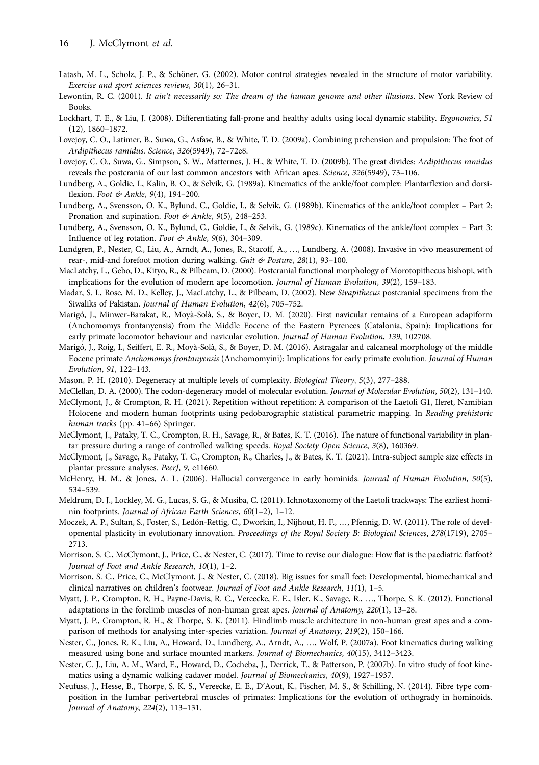- <span id="page-16-0"></span>Latash, M. L., Scholz, J. P., & Schöner, G. (2002). Motor control strategies revealed in the structure of motor variability. Exercise and sport sciences reviews, 30(1), 26–31.
- Lewontin, R. C. (2001). It ain't necessarily so: The dream of the human genome and other illusions. New York Review of Books.
- Lockhart, T. E., & Liu, J. (2008). Differentiating fall-prone and healthy adults using local dynamic stability. Ergonomics, 51 (12), 1860–1872.
- Lovejoy, C. O., Latimer, B., Suwa, G., Asfaw, B., & White, T. D. (2009a). Combining prehension and propulsion: The foot of Ardipithecus ramidus. Science, 326(5949), 72–72e8.
- Lovejoy, C. O., Suwa, G., Simpson, S. W., Matternes, J. H., & White, T. D. (2009b). The great divides: Ardipithecus ramidus reveals the postcrania of our last common ancestors with African apes. Science, 326(5949), 73–106.
- Lundberg, A., Goldie, I., Kalin, B. O., & Selvik, G. (1989a). Kinematics of the ankle/foot complex: Plantarflexion and dorsiflexion. Foot & Ankle, 9(4), 194-200.
- Lundberg, A., Svensson, O. K., Bylund, C., Goldie, I., & Selvik, G. (1989b). Kinematics of the ankle/foot complex Part 2: Pronation and supination. Foot & Ankle, 9(5), 248-253.
- Lundberg, A., Svensson, O. K., Bylund, C., Goldie, I., & Selvik, G. (1989c). Kinematics of the ankle/foot complex Part 3: Influence of leg rotation. Foot & Ankle, 9(6), 304-309.
- Lundgren, P., Nester, C., Liu, A., Arndt, A., Jones, R., Stacoff, A., …, Lundberg, A. (2008). Invasive in vivo measurement of rear-, mid-and forefoot motion during walking. Gait & Posture, 28(1), 93-100.
- MacLatchy, L., Gebo, D., Kityo, R., & Pilbeam, D. (2000). Postcranial functional morphology of Morotopithecus bishopi, with implications for the evolution of modern ape locomotion. Journal of Human Evolution, 39(2), 159–183.
- Madar, S. I., Rose, M. D., Kelley, J., MacLatchy, L., & Pilbeam, D. (2002). New Sivapithecus postcranial specimens from the Siwaliks of Pakistan. Journal of Human Evolution, 42(6), 705–752.
- Marigó, J., Minwer-Barakat, R., Moyà-Solà, S., & Boyer, D. M. (2020). First navicular remains of a European adapiform (Anchomomys frontanyensis) from the Middle Eocene of the Eastern Pyrenees (Catalonia, Spain): Implications for early primate locomotor behaviour and navicular evolution. Journal of Human Evolution, 139, 102708.
- Marigó, J., Roig, I., Seiffert, E. R., Moyà-Solà, S., & Boyer, D. M. (2016). Astragalar and calcaneal morphology of the middle Eocene primate Anchomomys frontanyensis (Anchomomyini): Implications for early primate evolution. Journal of Human Evolution, 91, 122–143.
- Mason, P. H. (2010). Degeneracy at multiple levels of complexity. Biological Theory, 5(3), 277–288.
- McClellan, D. A. (2000). The codon-degeneracy model of molecular evolution. Journal of Molecular Evolution, 50(2), 131–140.
- McClymont, J., & Crompton, R. H. (2021). Repetition without repetition: A comparison of the Laetoli G1, Ileret, Namibian Holocene and modern human footprints using pedobarographic statistical parametric mapping. In Reading prehistoric human tracks (pp. 41–66) Springer.
- McClymont, J., Pataky, T. C., Crompton, R. H., Savage, R., & Bates, K. T. (2016). The nature of functional variability in plantar pressure during a range of controlled walking speeds. Royal Society Open Science, 3(8), 160369.
- McClymont, J., Savage, R., Pataky, T. C., Crompton, R., Charles, J., & Bates, K. T. (2021). Intra-subject sample size effects in plantar pressure analyses. PeerJ, 9, e11660.
- McHenry, H. M., & Jones, A. L. (2006). Hallucial convergence in early hominids. Journal of Human Evolution, 50(5), 534–539.
- Meldrum, D. J., Lockley, M. G., Lucas, S. G., & Musiba, C. (2011). Ichnotaxonomy of the Laetoli trackways: The earliest hominin footprints. Journal of African Earth Sciences, 60(1–2), 1–12.
- Moczek, A. P., Sultan, S., Foster, S., Ledón-Rettig, C., Dworkin, I., Nijhout, H. F., …, Pfennig, D. W. (2011). The role of developmental plasticity in evolutionary innovation. Proceedings of the Royal Society B: Biological Sciences, 278(1719), 2705– 2713.
- Morrison, S. C., McClymont, J., Price, C., & Nester, C. (2017). Time to revise our dialogue: How flat is the paediatric flatfoot? Journal of Foot and Ankle Research, 10(1), 1–2.
- Morrison, S. C., Price, C., McClymont, J., & Nester, C. (2018). Big issues for small feet: Developmental, biomechanical and clinical narratives on children's footwear. Journal of Foot and Ankle Research, 11(1), 1–5.
- Myatt, J. P., Crompton, R. H., Payne-Davis, R. C., Vereecke, E. E., Isler, K., Savage, R., …, Thorpe, S. K. (2012). Functional adaptations in the forelimb muscles of non-human great apes. Journal of Anatomy, 220(1), 13–28.
- Myatt, J. P., Crompton, R. H., & Thorpe, S. K. (2011). Hindlimb muscle architecture in non-human great apes and a comparison of methods for analysing inter-species variation. Journal of Anatomy, 219(2), 150–166.
- Nester, C., Jones, R. K., Liu, A., Howard, D., Lundberg, A., Arndt, A., …, Wolf, P. (2007a). Foot kinematics during walking measured using bone and surface mounted markers. Journal of Biomechanics, 40(15), 3412–3423.
- Nester, C. J., Liu, A. M., Ward, E., Howard, D., Cocheba, J., Derrick, T., & Patterson, P. (2007b). In vitro study of foot kinematics using a dynamic walking cadaver model. Journal of Biomechanics, 40(9), 1927–1937.
- Neufuss, J., Hesse, B., Thorpe, S. K. S., Vereecke, E. E., D'Aout, K., Fischer, M. S., & Schilling, N. (2014). Fibre type composition in the lumbar perivertebral muscles of primates: Implications for the evolution of orthogrady in hominoids. Journal of Anatomy, 224(2), 113–131.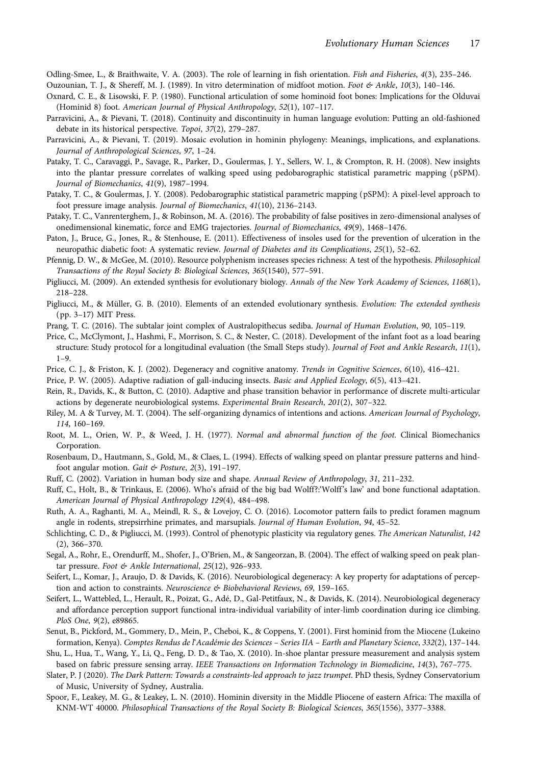<span id="page-17-0"></span>Odling-Smee, L., & Braithwaite, V. A. (2003). The role of learning in fish orientation. Fish and Fisheries, 4(3), 235–246.

Ouzounian, T. J., & Shereff, M. J. (1989). In vitro determination of midfoot motion. Foot & Ankle, 10(3), 140–146.

- Oxnard, C. E., & Lisowski, F. P. (1980). Functional articulation of some hominoid foot bones: Implications for the Olduvai (Hominid 8) foot. American Journal of Physical Anthropology, 52(1), 107–117.
- Parravicini, A., & Pievani, T. (2018). Continuity and discontinuity in human language evolution: Putting an old-fashioned debate in its historical perspective. Topoi, 37(2), 279–287.
- Parravicini, A., & Pievani, T. (2019). Mosaic evolution in hominin phylogeny: Meanings, implications, and explanations. Journal of Anthropological Sciences, 97, 1–24.
- Pataky, T. C., Caravaggi, P., Savage, R., Parker, D., Goulermas, J. Y., Sellers, W. I., & Crompton, R. H. (2008). New insights into the plantar pressure correlates of walking speed using pedobarographic statistical parametric mapping (pSPM). Journal of Biomechanics, 41(9), 1987–1994.
- Pataky, T. C., & Goulermas, J. Y. (2008). Pedobarographic statistical parametric mapping (pSPM): A pixel-level approach to foot pressure image analysis. Journal of Biomechanics, 41(10), 2136–2143.
- Pataky, T. C., Vanrenterghem, J., & Robinson, M. A. (2016). The probability of false positives in zero-dimensional analyses of onedimensional kinematic, force and EMG trajectories. Journal of Biomechanics, 49(9), 1468–1476.
- Paton, J., Bruce, G., Jones, R., & Stenhouse, E. (2011). Effectiveness of insoles used for the prevention of ulceration in the neuropathic diabetic foot: A systematic review. Journal of Diabetes and its Complications, 25(1), 52–62.
- Pfennig, D. W., & McGee, M. (2010). Resource polyphenism increases species richness: A test of the hypothesis. Philosophical Transactions of the Royal Society B: Biological Sciences, 365(1540), 577–591.
- Pigliucci, M. (2009). An extended synthesis for evolutionary biology. Annals of the New York Academy of Sciences, 1168(1), 218–228.
- Pigliucci, M., & Müller, G. B. (2010). Elements of an extended evolutionary synthesis. Evolution: The extended synthesis (pp. 3–17) MIT Press.
- Prang, T. C. (2016). The subtalar joint complex of Australopithecus sediba. Journal of Human Evolution, 90, 105-119.
- Price, C., McClymont, J., Hashmi, F., Morrison, S. C., & Nester, C. (2018). Development of the infant foot as a load bearing structure: Study protocol for a longitudinal evaluation (the Small Steps study). Journal of Foot and Ankle Research, 11(1), 1–9.
- Price, C. J., & Friston, K. J. (2002). Degeneracy and cognitive anatomy. Trends in Cognitive Sciences, 6(10), 416–421.
- Price, P. W. (2005). Adaptive radiation of gall-inducing insects. Basic and Applied Ecology, 6(5), 413–421.
- Rein, R., Davids, K., & Button, C. (2010). Adaptive and phase transition behavior in performance of discrete multi-articular actions by degenerate neurobiological systems. Experimental Brain Research, 201(2), 307–322.
- Riley, M. A & Turvey, M. T. (2004). The self-organizing dynamics of intentions and actions. American Journal of Psychology, 114, 160–169.
- Root, M. L., Orien, W. P., & Weed, J. H. (1977). Normal and abnormal function of the foot. Clinical Biomechanics Corporation.
- Rosenbaum, D., Hautmann, S., Gold, M., & Claes, L. (1994). Effects of walking speed on plantar pressure patterns and hindfoot angular motion. Gait & Posture,  $2(3)$ , 191-197.
- Ruff, C. (2002). Variation in human body size and shape. Annual Review of Anthropology, 31, 211–232.
- Ruff, C., Holt, B., & Trinkaus, E. (2006). Who's afraid of the big bad Wolff?:'Wolff's law' and bone functional adaptation. American Journal of Physical Anthropology 129(4), 484–498.
- Ruth, A. A., Raghanti, M. A., Meindl, R. S., & Lovejoy, C. O. (2016). Locomotor pattern fails to predict foramen magnum angle in rodents, strepsirrhine primates, and marsupials. Journal of Human Evolution, 94, 45–52.
- Schlichting, C. D., & Pigliucci, M. (1993). Control of phenotypic plasticity via regulatory genes. The American Naturalist, 142 (2), 366–370.
- Segal, A., Rohr, E., Orendurff, M., Shofer, J., O'Brien, M., & Sangeorzan, B. (2004). The effect of walking speed on peak plantar pressure. Foot & Ankle International, 25(12), 926-933.
- Seifert, L., Komar, J., Araujo, D. & Davids, K. (2016). Neurobiological degeneracy: A key property for adaptations of perception and action to constraints. Neuroscience & Biobehavioral Reviews, 69, 159-165.
- Seifert, L., Wattebled, L., Herault, R., Poizat, G., Adé, D., Gal-Petitfaux, N., & Davids, K. (2014). Neurobiological degeneracy and affordance perception support functional intra-individual variability of inter-limb coordination during ice climbing. PloS One, 9(2), e89865.
- Senut, B., Pickford, M., Gommery, D., Mein, P., Cheboi, K., & Coppens, Y. (2001). First hominid from the Miocene (Lukeino formation, Kenya). Comptes Rendus de l'Académie des Sciences – Series IIA – Earth and Planetary Science, 332(2), 137–144.
- Shu, L., Hua, T., Wang, Y., Li, Q., Feng, D. D., & Tao, X. (2010). In-shoe plantar pressure measurement and analysis system based on fabric pressure sensing array. IEEE Transactions on Information Technology in Biomedicine, 14(3), 767–775.
- Slater, P. J (2020). The Dark Pattern: Towards a constraints-led approach to jazz trumpet. PhD thesis, Sydney Conservatorium of Music, University of Sydney, Australia.
- Spoor, F., Leakey, M. G., & Leakey, L. N. (2010). Hominin diversity in the Middle Pliocene of eastern Africa: The maxilla of KNM-WT 40000. Philosophical Transactions of the Royal Society B: Biological Sciences, 365(1556), 3377–3388.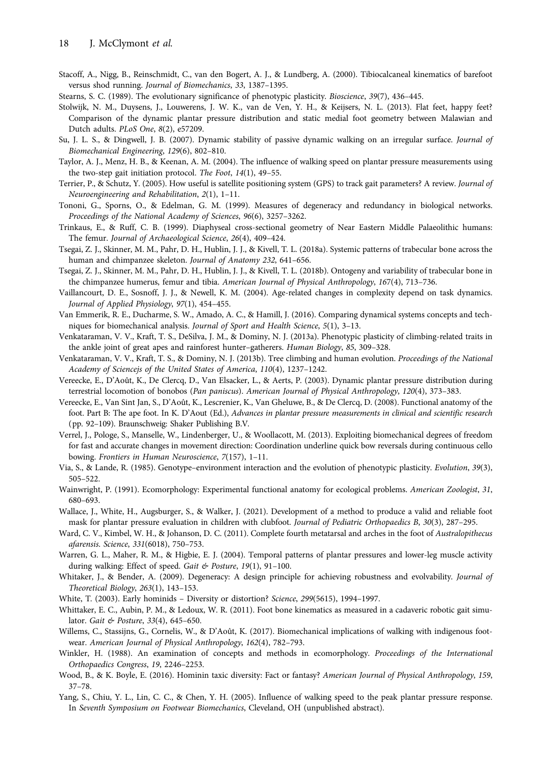- <span id="page-18-0"></span>Stacoff, A., Nigg, B., Reinschmidt, C., van den Bogert, A. J., & Lundberg, A. (2000). Tibiocalcaneal kinematics of barefoot versus shod running. Journal of Biomechanics, 33, 1387–1395.
- Stearns, S. C. (1989). The evolutionary significance of phenotypic plasticity. Bioscience, 39(7), 436–445.
- Stolwijk, N. M., Duysens, J., Louwerens, J. W. K., van de Ven, Y. H., & Keijsers, N. L. (2013). Flat feet, happy feet? Comparison of the dynamic plantar pressure distribution and static medial foot geometry between Malawian and Dutch adults. PLoS One, 8(2), e57209.
- Su, J. L. S., & Dingwell, J. B. (2007). Dynamic stability of passive dynamic walking on an irregular surface. Journal of Biomechanical Engineering, 129(6), 802–810.
- Taylor, A. J., Menz, H. B., & Keenan, A. M. (2004). The influence of walking speed on plantar pressure measurements using the two-step gait initiation protocol. The Foot, 14(1), 49–55.
- Terrier, P., & Schutz, Y. (2005). How useful is satellite positioning system (GPS) to track gait parameters? A review. Journal of Neuroengineering and Rehabilitation, 2(1), 1–11.
- Tononi, G., Sporns, O., & Edelman, G. M. (1999). Measures of degeneracy and redundancy in biological networks. Proceedings of the National Academy of Sciences, 96(6), 3257–3262.
- Trinkaus, E., & Ruff, C. B. (1999). Diaphyseal cross-sectional geometry of Near Eastern Middle Palaeolithic humans: The femur. Journal of Archaeological Science, 26(4), 409–424.
- Tsegai, Z. J., Skinner, M. M., Pahr, D. H., Hublin, J. J., & Kivell, T. L. (2018a). Systemic patterns of trabecular bone across the human and chimpanzee skeleton. Journal of Anatomy 232, 641–656.
- Tsegai, Z. J., Skinner, M. M., Pahr, D. H., Hublin, J. J., & Kivell, T. L. (2018b). Ontogeny and variability of trabecular bone in the chimpanzee humerus, femur and tibia. American Journal of Physical Anthropology, 167(4), 713–736.
- Vaillancourt, D. E., Sosnoff, J. J., & Newell, K. M. (2004). Age-related changes in complexity depend on task dynamics. Journal of Applied Physiology, 97(1), 454–455.
- Van Emmerik, R. E., Ducharme, S. W., Amado, A. C., & Hamill, J. (2016). Comparing dynamical systems concepts and techniques for biomechanical analysis. Journal of Sport and Health Science, 5(1), 3–13.
- Venkataraman, V. V., Kraft, T. S., DeSilva, J. M., & Dominy, N. J. (2013a). Phenotypic plasticity of climbing-related traits in the ankle joint of great apes and rainforest hunter–gatherers. Human Biology, 85, 309–328.
- Venkataraman, V. V., Kraft, T. S., & Dominy, N. J. (2013b). Tree climbing and human evolution. Proceedings of the National Academy of Sciencejs of the United States of America, 110(4), 1237–1242.
- Vereecke, E., D'Août, K., De Clercq, D., Van Elsacker, L., & Aerts, P. (2003). Dynamic plantar pressure distribution during terrestrial locomotion of bonobos (Pan paniscus). American Journal of Physical Anthropology, 120(4), 373–383.
- Vereecke, E., Van Sint Jan, S., D'Août, K., Lescrenier, K., Van Gheluwe, B., & De Clercq, D. (2008). Functional anatomy of the foot. Part B: The ape foot. In K. D'Aout (Ed.), Advances in plantar pressure measurements in clinical and scientific research (pp. 92–109). Braunschweig: Shaker Publishing B.V.
- Verrel, J., Pologe, S., Manselle, W., Lindenberger, U., & Woollacott, M. (2013). Exploiting biomechanical degrees of freedom for fast and accurate changes in movement direction: Coordination underline quick bow reversals during continuous cello bowing. Frontiers in Human Neuroscience, 7(157), 1–11.
- Via, S., & Lande, R. (1985). Genotype–environment interaction and the evolution of phenotypic plasticity. Evolution, 39(3), 505–522.
- Wainwright, P. (1991). Ecomorphology: Experimental functional anatomy for ecological problems. American Zoologist, 31, 680–693.
- Wallace, J., White, H., Augsburger, S., & Walker, J. (2021). Development of a method to produce a valid and reliable foot mask for plantar pressure evaluation in children with clubfoot. Journal of Pediatric Orthopaedics B, 30(3), 287–295.
- Ward, C. V., Kimbel, W. H., & Johanson, D. C. (2011). Complete fourth metatarsal and arches in the foot of Australopithecus afarensis. Science, 331(6018), 750–753.
- Warren, G. L., Maher, R. M., & Higbie, E. J. (2004). Temporal patterns of plantar pressures and lower-leg muscle activity during walking: Effect of speed. Gait & Posture, 19(1), 91-100.
- Whitaker, J., & Bender, A. (2009). Degeneracy: A design principle for achieving robustness and evolvability. Journal of Theoretical Biology, 263(1), 143–153.
- White, T. (2003). Early hominids Diversity or distortion? Science, 299(5615), 1994–1997.
- Whittaker, E. C., Aubin, P. M., & Ledoux, W. R. (2011). Foot bone kinematics as measured in a cadaveric robotic gait simulator. Gait & Posture, 33(4), 645–650.
- Willems, C., Stassijns, G., Cornelis, W., & D'Août, K. (2017). Biomechanical implications of walking with indigenous footwear. American Journal of Physical Anthropology, 162(4), 782–793.
- Winkler, H. (1988). An examination of concepts and methods in ecomorphology. Proceedings of the International Orthopaedics Congress, 19, 2246–2253.
- Wood, B., & K. Boyle, E. (2016). Hominin taxic diversity: Fact or fantasy? American Journal of Physical Anthropology, 159, 37–78.
- Yang, S., Chiu, Y. L., Lin, C. C., & Chen, Y. H. (2005). Influence of walking speed to the peak plantar pressure response. In Seventh Symposium on Footwear Biomechanics, Cleveland, OH (unpublished abstract).